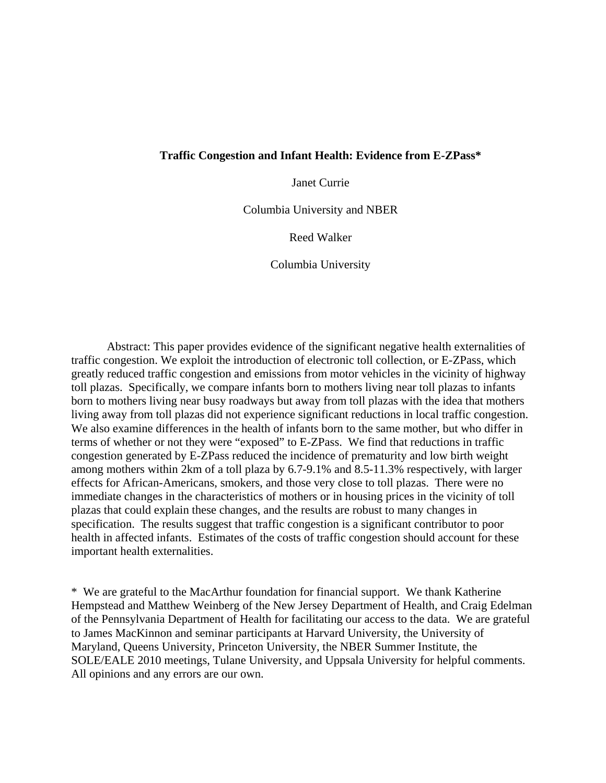### **Traffic Congestion and Infant Health: Evidence from E-ZPass\***

Janet Currie

Columbia University and NBER

Reed Walker

Columbia University

Abstract: This paper provides evidence of the significant negative health externalities of traffic congestion. We exploit the introduction of electronic toll collection, or E-ZPass, which greatly reduced traffic congestion and emissions from motor vehicles in the vicinity of highway toll plazas. Specifically, we compare infants born to mothers living near toll plazas to infants born to mothers living near busy roadways but away from toll plazas with the idea that mothers living away from toll plazas did not experience significant reductions in local traffic congestion. We also examine differences in the health of infants born to the same mother, but who differ in terms of whether or not they were "exposed" to E-ZPass. We find that reductions in traffic congestion generated by E-ZPass reduced the incidence of prematurity and low birth weight among mothers within 2km of a toll plaza by 6.7-9.1% and 8.5-11.3% respectively, with larger effects for African-Americans, smokers, and those very close to toll plazas. There were no immediate changes in the characteristics of mothers or in housing prices in the vicinity of toll plazas that could explain these changes, and the results are robust to many changes in specification. The results suggest that traffic congestion is a significant contributor to poor health in affected infants. Estimates of the costs of traffic congestion should account for these important health externalities.

\* We are grateful to the MacArthur foundation for financial support. We thank Katherine Hempstead and Matthew Weinberg of the New Jersey Department of Health, and Craig Edelman of the Pennsylvania Department of Health for facilitating our access to the data. We are grateful to James MacKinnon and seminar participants at Harvard University, the University of Maryland, Queens University, Princeton University, the NBER Summer Institute, the SOLE/EALE 2010 meetings, Tulane University, and Uppsala University for helpful comments. All opinions and any errors are our own.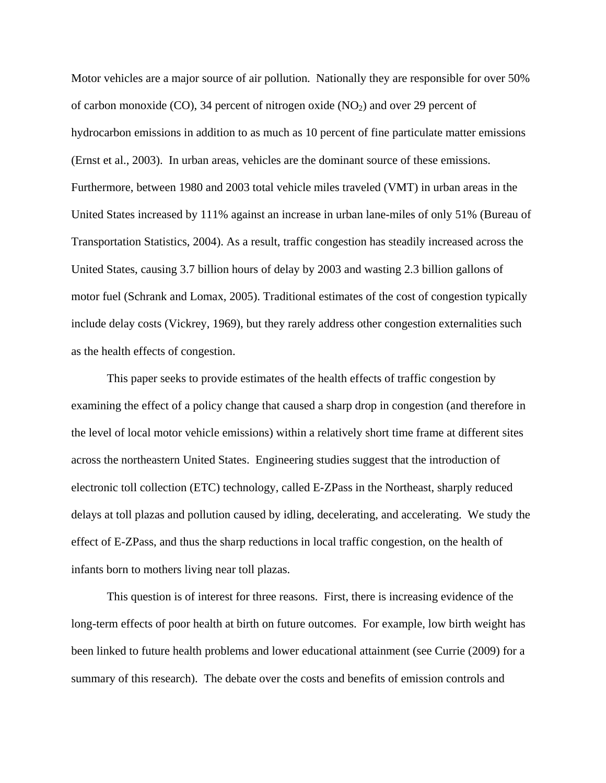Motor vehicles are a major source of air pollution. Nationally they are responsible for over 50% of carbon monoxide (CO), 34 percent of nitrogen oxide  $(NO<sub>2</sub>)$  and over 29 percent of hydrocarbon emissions in addition to as much as 10 percent of fine particulate matter emissions (Ernst et al., 2003). In urban areas, vehicles are the dominant source of these emissions. Furthermore, between 1980 and 2003 total vehicle miles traveled (VMT) in urban areas in the United States increased by 111% against an increase in urban lane-miles of only 51% (Bureau of Transportation Statistics, 2004). As a result, traffic congestion has steadily increased across the United States, causing 3.7 billion hours of delay by 2003 and wasting 2.3 billion gallons of motor fuel (Schrank and Lomax, 2005). Traditional estimates of the cost of congestion typically include delay costs (Vickrey, 1969), but they rarely address other congestion externalities such as the health effects of congestion.

This paper seeks to provide estimates of the health effects of traffic congestion by examining the effect of a policy change that caused a sharp drop in congestion (and therefore in the level of local motor vehicle emissions) within a relatively short time frame at different sites across the northeastern United States. Engineering studies suggest that the introduction of electronic toll collection (ETC) technology, called E-ZPass in the Northeast, sharply reduced delays at toll plazas and pollution caused by idling, decelerating, and accelerating. We study the effect of E-ZPass, and thus the sharp reductions in local traffic congestion, on the health of infants born to mothers living near toll plazas.

This question is of interest for three reasons. First, there is increasing evidence of the long-term effects of poor health at birth on future outcomes. For example, low birth weight has been linked to future health problems and lower educational attainment (see Currie (2009) for a summary of this research). The debate over the costs and benefits of emission controls and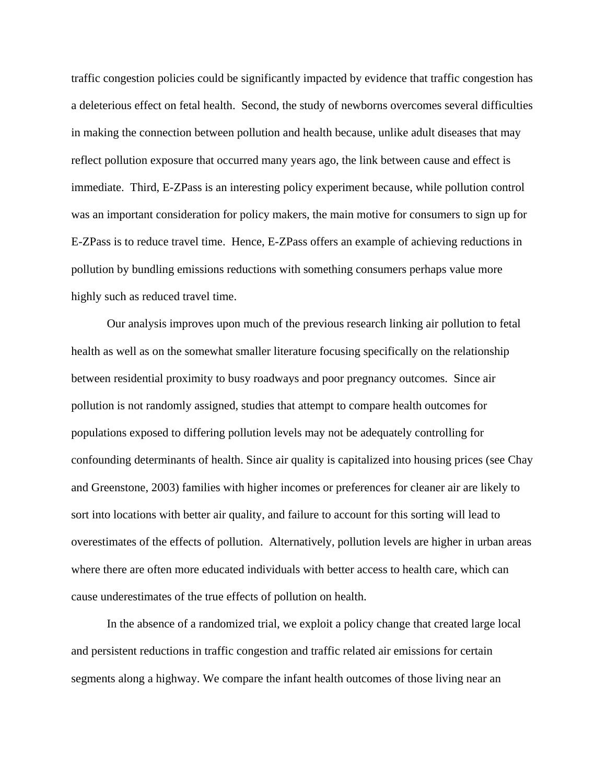traffic congestion policies could be significantly impacted by evidence that traffic congestion has a deleterious effect on fetal health. Second, the study of newborns overcomes several difficulties in making the connection between pollution and health because, unlike adult diseases that may reflect pollution exposure that occurred many years ago, the link between cause and effect is immediate. Third, E-ZPass is an interesting policy experiment because, while pollution control was an important consideration for policy makers, the main motive for consumers to sign up for E-ZPass is to reduce travel time. Hence, E-ZPass offers an example of achieving reductions in pollution by bundling emissions reductions with something consumers perhaps value more highly such as reduced travel time.

 Our analysis improves upon much of the previous research linking air pollution to fetal health as well as on the somewhat smaller literature focusing specifically on the relationship between residential proximity to busy roadways and poor pregnancy outcomes. Since air pollution is not randomly assigned, studies that attempt to compare health outcomes for populations exposed to differing pollution levels may not be adequately controlling for confounding determinants of health. Since air quality is capitalized into housing prices (see Chay and Greenstone, 2003) families with higher incomes or preferences for cleaner air are likely to sort into locations with better air quality, and failure to account for this sorting will lead to overestimates of the effects of pollution. Alternatively, pollution levels are higher in urban areas where there are often more educated individuals with better access to health care, which can cause underestimates of the true effects of pollution on health.

In the absence of a randomized trial, we exploit a policy change that created large local and persistent reductions in traffic congestion and traffic related air emissions for certain segments along a highway. We compare the infant health outcomes of those living near an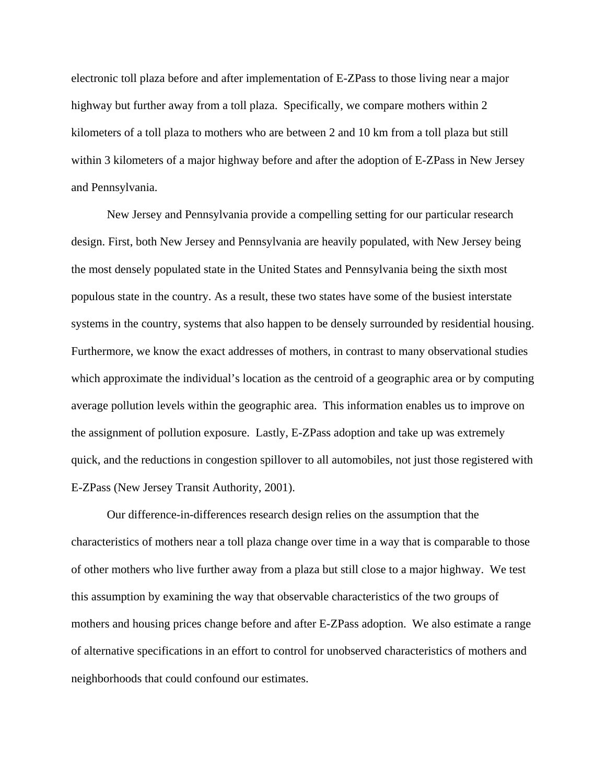electronic toll plaza before and after implementation of E-ZPass to those living near a major highway but further away from a toll plaza. Specifically, we compare mothers within 2 kilometers of a toll plaza to mothers who are between 2 and 10 km from a toll plaza but still within 3 kilometers of a major highway before and after the adoption of E-ZPass in New Jersey and Pennsylvania.

New Jersey and Pennsylvania provide a compelling setting for our particular research design. First, both New Jersey and Pennsylvania are heavily populated, with New Jersey being the most densely populated state in the United States and Pennsylvania being the sixth most populous state in the country. As a result, these two states have some of the busiest interstate systems in the country, systems that also happen to be densely surrounded by residential housing. Furthermore, we know the exact addresses of mothers, in contrast to many observational studies which approximate the individual's location as the centroid of a geographic area or by computing average pollution levels within the geographic area. This information enables us to improve on the assignment of pollution exposure. Lastly, E-ZPass adoption and take up was extremely quick, and the reductions in congestion spillover to all automobiles, not just those registered with E-ZPass (New Jersey Transit Authority, 2001).

Our difference-in-differences research design relies on the assumption that the characteristics of mothers near a toll plaza change over time in a way that is comparable to those of other mothers who live further away from a plaza but still close to a major highway. We test this assumption by examining the way that observable characteristics of the two groups of mothers and housing prices change before and after E-ZPass adoption. We also estimate a range of alternative specifications in an effort to control for unobserved characteristics of mothers and neighborhoods that could confound our estimates.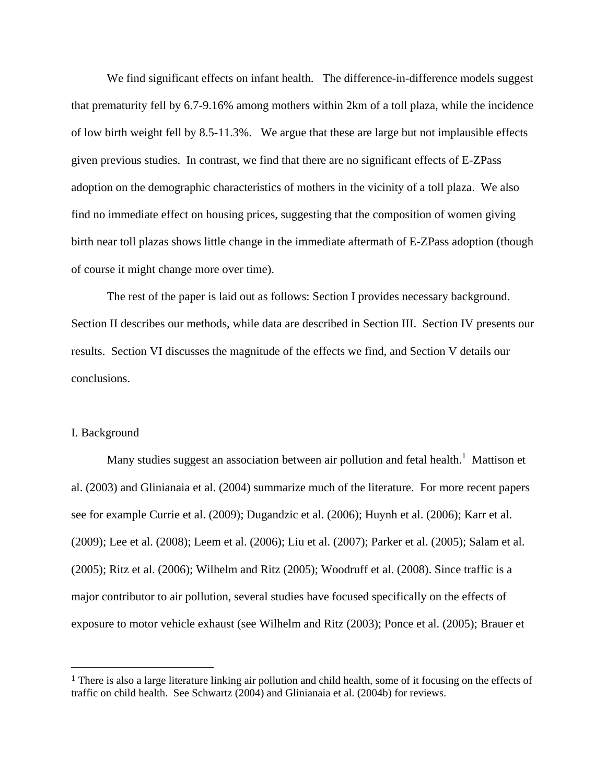We find significant effects on infant health. The difference-in-difference models suggest that prematurity fell by 6.7-9.16% among mothers within 2km of a toll plaza, while the incidence of low birth weight fell by 8.5-11.3%. We argue that these are large but not implausible effects given previous studies. In contrast, we find that there are no significant effects of E-ZPass adoption on the demographic characteristics of mothers in the vicinity of a toll plaza. We also find no immediate effect on housing prices, suggesting that the composition of women giving birth near toll plazas shows little change in the immediate aftermath of E-ZPass adoption (though of course it might change more over time).

 The rest of the paper is laid out as follows: Section I provides necessary background. Section II describes our methods, while data are described in Section III. Section IV presents our results. Section VI discusses the magnitude of the effects we find, and Section V details our conclusions.

### I. Background

Many studies suggest an association between air pollution and fetal health.<sup>1</sup> Mattison et al. (2003) and Glinianaia et al. (2004) summarize much of the literature. For more recent papers see for example Currie et al. (2009); Dugandzic et al. (2006); Huynh et al. (2006); Karr et al. (2009); Lee et al. (2008); Leem et al. (2006); Liu et al. (2007); Parker et al. (2005); Salam et al. (2005); Ritz et al. (2006); Wilhelm and Ritz (2005); Woodruff et al. (2008). Since traffic is a major contributor to air pollution, several studies have focused specifically on the effects of exposure to motor vehicle exhaust (see Wilhelm and Ritz (2003); Ponce et al. (2005); Brauer et

<sup>&</sup>lt;sup>1</sup> There is also a large literature linking air pollution and child health, some of it focusing on the effects of traffic on child health. See Schwartz (2004) and Glinianaia et al. (2004b) for reviews.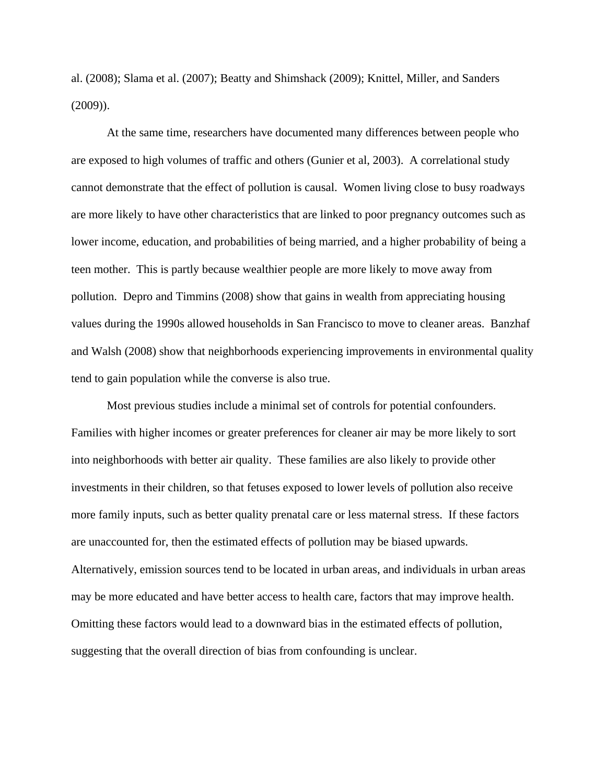al. (2008); Slama et al. (2007); Beatty and Shimshack (2009); Knittel, Miller, and Sanders (2009)).

At the same time, researchers have documented many differences between people who are exposed to high volumes of traffic and others (Gunier et al, 2003). A correlational study cannot demonstrate that the effect of pollution is causal. Women living close to busy roadways are more likely to have other characteristics that are linked to poor pregnancy outcomes such as lower income, education, and probabilities of being married, and a higher probability of being a teen mother. This is partly because wealthier people are more likely to move away from pollution. Depro and Timmins (2008) show that gains in wealth from appreciating housing values during the 1990s allowed households in San Francisco to move to cleaner areas. Banzhaf and Walsh (2008) show that neighborhoods experiencing improvements in environmental quality tend to gain population while the converse is also true.

Most previous studies include a minimal set of controls for potential confounders. Families with higher incomes or greater preferences for cleaner air may be more likely to sort into neighborhoods with better air quality. These families are also likely to provide other investments in their children, so that fetuses exposed to lower levels of pollution also receive more family inputs, such as better quality prenatal care or less maternal stress. If these factors are unaccounted for, then the estimated effects of pollution may be biased upwards. Alternatively, emission sources tend to be located in urban areas, and individuals in urban areas may be more educated and have better access to health care, factors that may improve health. Omitting these factors would lead to a downward bias in the estimated effects of pollution, suggesting that the overall direction of bias from confounding is unclear.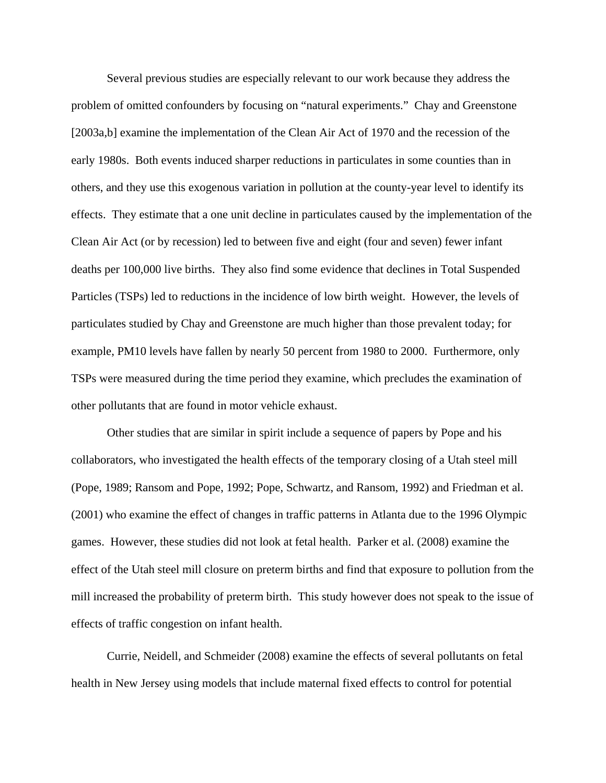Several previous studies are especially relevant to our work because they address the problem of omitted confounders by focusing on "natural experiments." Chay and Greenstone [2003a,b] examine the implementation of the Clean Air Act of 1970 and the recession of the early 1980s. Both events induced sharper reductions in particulates in some counties than in others, and they use this exogenous variation in pollution at the county-year level to identify its effects. They estimate that a one unit decline in particulates caused by the implementation of the Clean Air Act (or by recession) led to between five and eight (four and seven) fewer infant deaths per 100,000 live births. They also find some evidence that declines in Total Suspended Particles (TSPs) led to reductions in the incidence of low birth weight. However, the levels of particulates studied by Chay and Greenstone are much higher than those prevalent today; for example, PM10 levels have fallen by nearly 50 percent from 1980 to 2000. Furthermore, only TSPs were measured during the time period they examine, which precludes the examination of other pollutants that are found in motor vehicle exhaust.

Other studies that are similar in spirit include a sequence of papers by Pope and his collaborators, who investigated the health effects of the temporary closing of a Utah steel mill (Pope, 1989; Ransom and Pope, 1992; Pope, Schwartz, and Ransom, 1992) and Friedman et al. (2001) who examine the effect of changes in traffic patterns in Atlanta due to the 1996 Olympic games. However, these studies did not look at fetal health. Parker et al. (2008) examine the effect of the Utah steel mill closure on preterm births and find that exposure to pollution from the mill increased the probability of preterm birth. This study however does not speak to the issue of effects of traffic congestion on infant health.

Currie, Neidell, and Schmeider (2008) examine the effects of several pollutants on fetal health in New Jersey using models that include maternal fixed effects to control for potential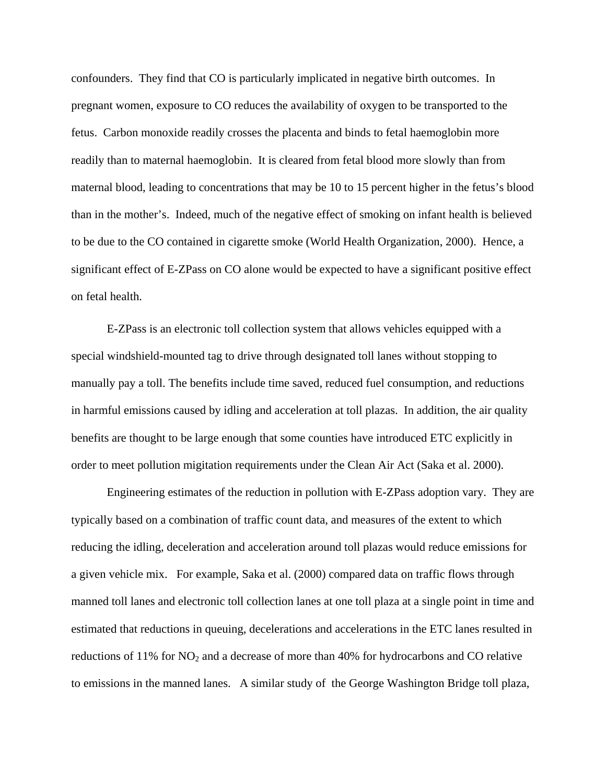confounders. They find that CO is particularly implicated in negative birth outcomes. In pregnant women, exposure to CO reduces the availability of oxygen to be transported to the fetus. Carbon monoxide readily crosses the placenta and binds to fetal haemoglobin more readily than to maternal haemoglobin. It is cleared from fetal blood more slowly than from maternal blood, leading to concentrations that may be 10 to 15 percent higher in the fetus's blood than in the mother's. Indeed, much of the negative effect of smoking on infant health is believed to be due to the CO contained in cigarette smoke (World Health Organization, 2000). Hence, a significant effect of E-ZPass on CO alone would be expected to have a significant positive effect on fetal health.

E-ZPass is an electronic toll collection system that allows vehicles equipped with a special windshield-mounted tag to drive through designated toll lanes without stopping to manually pay a toll. The benefits include time saved, reduced fuel consumption, and reductions in harmful emissions caused by idling and acceleration at toll plazas. In addition, the air quality benefits are thought to be large enough that some counties have introduced ETC explicitly in order to meet pollution migitation requirements under the Clean Air Act (Saka et al. 2000).

Engineering estimates of the reduction in pollution with E-ZPass adoption vary. They are typically based on a combination of traffic count data, and measures of the extent to which reducing the idling, deceleration and acceleration around toll plazas would reduce emissions for a given vehicle mix. For example, Saka et al. (2000) compared data on traffic flows through manned toll lanes and electronic toll collection lanes at one toll plaza at a single point in time and estimated that reductions in queuing, decelerations and accelerations in the ETC lanes resulted in reductions of  $11\%$  for NO<sub>2</sub> and a decrease of more than 40% for hydrocarbons and CO relative to emissions in the manned lanes. A similar study of the George Washington Bridge toll plaza,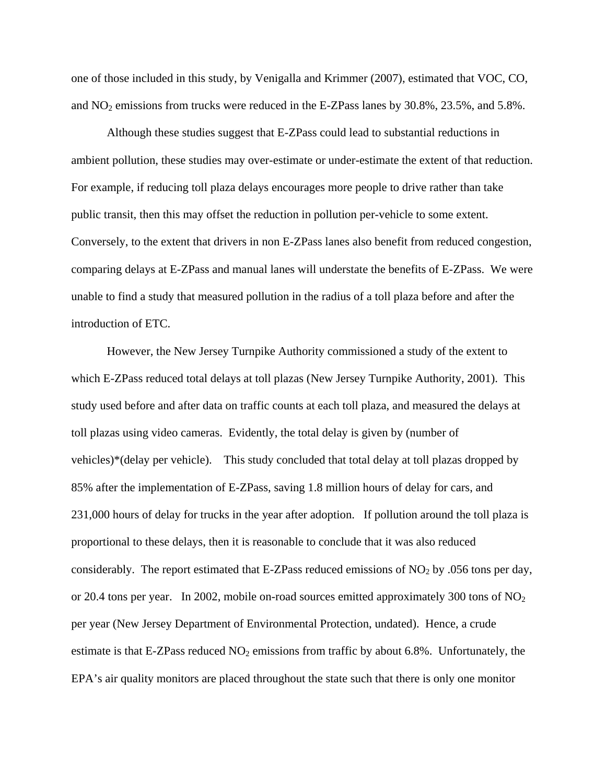one of those included in this study, by Venigalla and Krimmer (2007), estimated that VOC, CO, and  $NO<sub>2</sub>$  emissions from trucks were reduced in the E-ZPass lanes by 30.8%, 23.5%, and 5.8%.

Although these studies suggest that E-ZPass could lead to substantial reductions in ambient pollution, these studies may over-estimate or under-estimate the extent of that reduction. For example, if reducing toll plaza delays encourages more people to drive rather than take public transit, then this may offset the reduction in pollution per-vehicle to some extent. Conversely, to the extent that drivers in non E-ZPass lanes also benefit from reduced congestion, comparing delays at E-ZPass and manual lanes will understate the benefits of E-ZPass. We were unable to find a study that measured pollution in the radius of a toll plaza before and after the introduction of ETC.

However, the New Jersey Turnpike Authority commissioned a study of the extent to which E-ZPass reduced total delays at toll plazas (New Jersey Turnpike Authority, 2001). This study used before and after data on traffic counts at each toll plaza, and measured the delays at toll plazas using video cameras. Evidently, the total delay is given by (number of vehicles)\*(delay per vehicle). This study concluded that total delay at toll plazas dropped by 85% after the implementation of E-ZPass, saving 1.8 million hours of delay for cars, and 231,000 hours of delay for trucks in the year after adoption. If pollution around the toll plaza is proportional to these delays, then it is reasonable to conclude that it was also reduced considerably. The report estimated that E-ZPass reduced emissions of  $NO<sub>2</sub>$  by .056 tons per day, or 20.4 tons per year. In 2002, mobile on-road sources emitted approximately 300 tons of  $NO<sub>2</sub>$ per year (New Jersey Department of Environmental Protection, undated). Hence, a crude estimate is that E-ZPass reduced  $NO<sub>2</sub>$  emissions from traffic by about 6.8%. Unfortunately, the EPA's air quality monitors are placed throughout the state such that there is only one monitor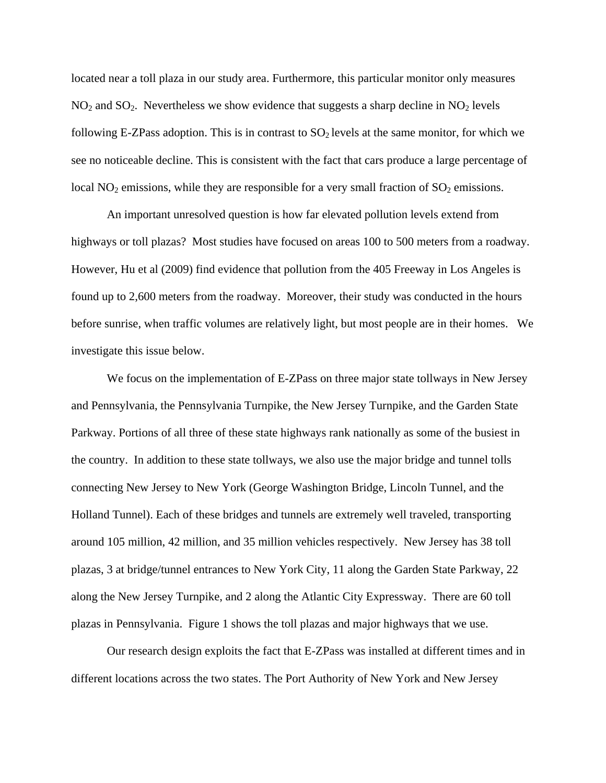located near a toll plaza in our study area. Furthermore, this particular monitor only measures  $NO<sub>2</sub>$  and  $SO<sub>2</sub>$ . Nevertheless we show evidence that suggests a sharp decline in  $NO<sub>2</sub>$  levels following E-ZPass adoption. This is in contrast to  $SO<sub>2</sub>$  levels at the same monitor, for which we see no noticeable decline. This is consistent with the fact that cars produce a large percentage of local  $NO<sub>2</sub>$  emissions, while they are responsible for a very small fraction of  $SO<sub>2</sub>$  emissions.

An important unresolved question is how far elevated pollution levels extend from highways or toll plazas? Most studies have focused on areas 100 to 500 meters from a roadway. However, Hu et al (2009) find evidence that pollution from the 405 Freeway in Los Angeles is found up to 2,600 meters from the roadway. Moreover, their study was conducted in the hours before sunrise, when traffic volumes are relatively light, but most people are in their homes. We investigate this issue below.

We focus on the implementation of E-ZPass on three major state tollways in New Jersey and Pennsylvania, the Pennsylvania Turnpike, the New Jersey Turnpike, and the Garden State Parkway. Portions of all three of these state highways rank nationally as some of the busiest in the country. In addition to these state tollways, we also use the major bridge and tunnel tolls connecting New Jersey to New York (George Washington Bridge, Lincoln Tunnel, and the Holland Tunnel). Each of these bridges and tunnels are extremely well traveled, transporting around 105 million, 42 million, and 35 million vehicles respectively. New Jersey has 38 toll plazas, 3 at bridge/tunnel entrances to New York City, 11 along the Garden State Parkway, 22 along the New Jersey Turnpike, and 2 along the Atlantic City Expressway. There are 60 toll plazas in Pennsylvania. Figure 1 shows the toll plazas and major highways that we use.

Our research design exploits the fact that E-ZPass was installed at different times and in different locations across the two states. The Port Authority of New York and New Jersey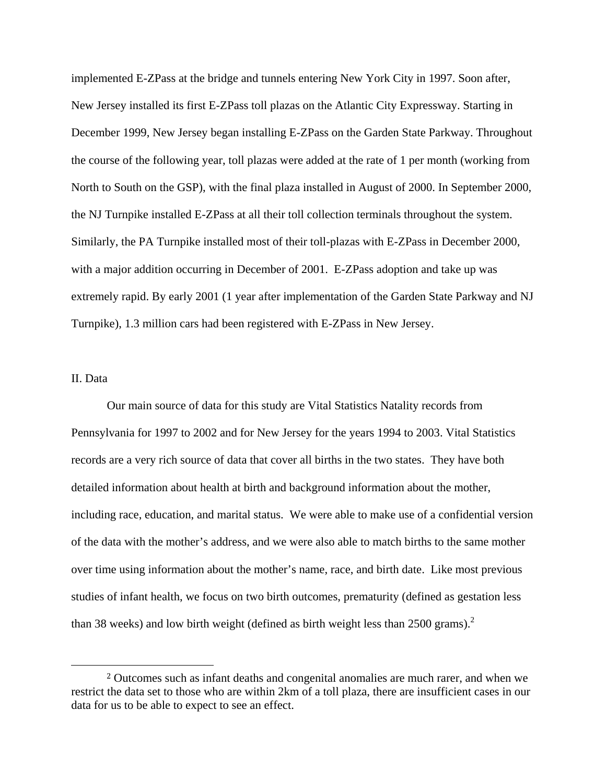implemented E-ZPass at the bridge and tunnels entering New York City in 1997. Soon after, New Jersey installed its first E-ZPass toll plazas on the Atlantic City Expressway. Starting in December 1999, New Jersey began installing E-ZPass on the Garden State Parkway. Throughout the course of the following year, toll plazas were added at the rate of 1 per month (working from North to South on the GSP), with the final plaza installed in August of 2000. In September 2000, the NJ Turnpike installed E-ZPass at all their toll collection terminals throughout the system. Similarly, the PA Turnpike installed most of their toll-plazas with E-ZPass in December 2000, with a major addition occurring in December of 2001. E-ZPass adoption and take up was extremely rapid. By early 2001 (1 year after implementation of the Garden State Parkway and NJ Turnpike), 1.3 million cars had been registered with E-ZPass in New Jersey.

### II. Data

Our main source of data for this study are Vital Statistics Natality records from Pennsylvania for 1997 to 2002 and for New Jersey for the years 1994 to 2003. Vital Statistics records are a very rich source of data that cover all births in the two states. They have both detailed information about health at birth and background information about the mother, including race, education, and marital status. We were able to make use of a confidential version of the data with the mother's address, and we were also able to match births to the same mother over time using information about the mother's name, race, and birth date. Like most previous studies of infant health, we focus on two birth outcomes, prematurity (defined as gestation less than 38 weeks) and low birth weight (defined as birth weight less than  $2500$  grams).<sup>2</sup>

<sup>2</sup> Outcomes such as infant deaths and congenital anomalies are much rarer, and when we restrict the data set to those who are within 2km of a toll plaza, there are insufficient cases in our data for us to be able to expect to see an effect.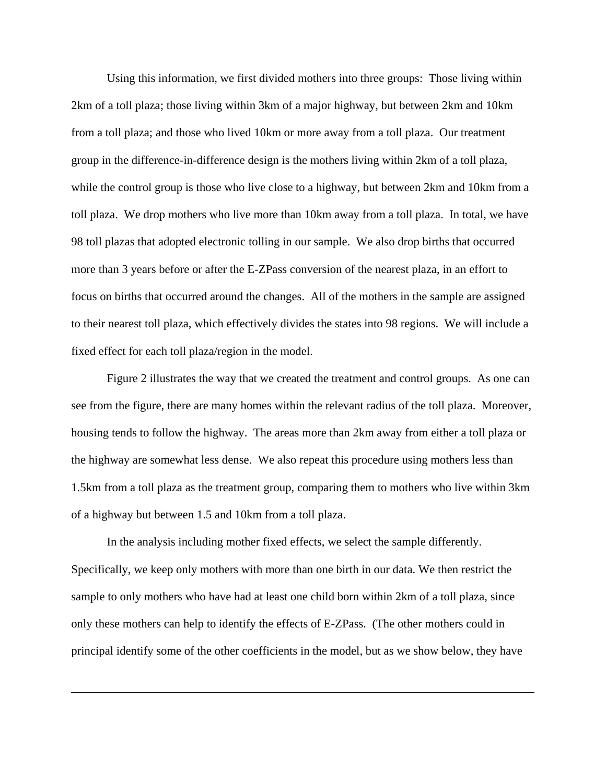Using this information, we first divided mothers into three groups: Those living within 2km of a toll plaza; those living within 3km of a major highway, but between 2km and 10km from a toll plaza; and those who lived 10km or more away from a toll plaza. Our treatment group in the difference-in-difference design is the mothers living within 2km of a toll plaza, while the control group is those who live close to a highway, but between 2km and 10km from a toll plaza. We drop mothers who live more than 10km away from a toll plaza. In total, we have 98 toll plazas that adopted electronic tolling in our sample. We also drop births that occurred more than 3 years before or after the E-ZPass conversion of the nearest plaza, in an effort to focus on births that occurred around the changes. All of the mothers in the sample are assigned to their nearest toll plaza, which effectively divides the states into 98 regions. We will include a fixed effect for each toll plaza/region in the model.

Figure 2 illustrates the way that we created the treatment and control groups. As one can see from the figure, there are many homes within the relevant radius of the toll plaza. Moreover, housing tends to follow the highway. The areas more than 2km away from either a toll plaza or the highway are somewhat less dense. We also repeat this procedure using mothers less than 1.5km from a toll plaza as the treatment group, comparing them to mothers who live within 3km of a highway but between 1.5 and 10km from a toll plaza.

In the analysis including mother fixed effects, we select the sample differently. Specifically, we keep only mothers with more than one birth in our data. We then restrict the sample to only mothers who have had at least one child born within 2km of a toll plaza, since only these mothers can help to identify the effects of E-ZPass. (The other mothers could in principal identify some of the other coefficients in the model, but as we show below, they have

<u> 1989 - Andrea San Andrea San Andrea San Andrea San Andrea San Andrea San Andrea San Andrea San Andrea San An</u>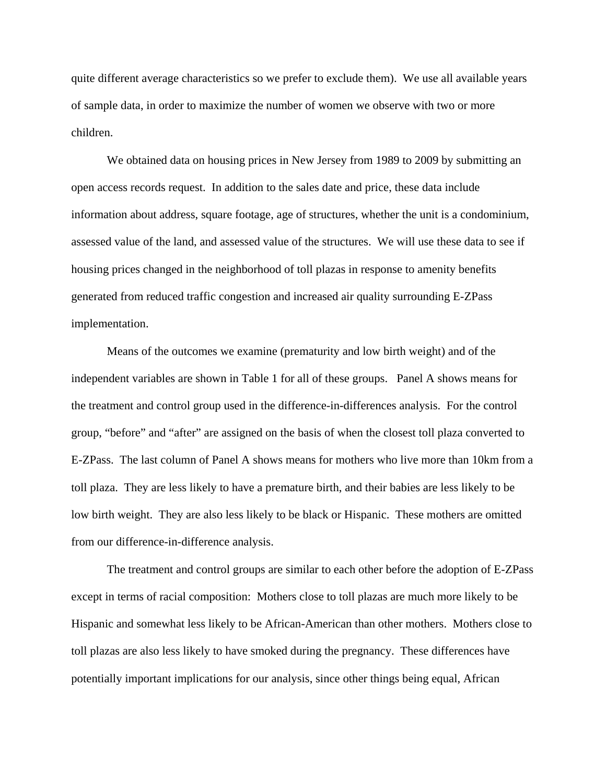quite different average characteristics so we prefer to exclude them). We use all available years of sample data, in order to maximize the number of women we observe with two or more children.

We obtained data on housing prices in New Jersey from 1989 to 2009 by submitting an open access records request. In addition to the sales date and price, these data include information about address, square footage, age of structures, whether the unit is a condominium, assessed value of the land, and assessed value of the structures. We will use these data to see if housing prices changed in the neighborhood of toll plazas in response to amenity benefits generated from reduced traffic congestion and increased air quality surrounding E-ZPass implementation.

Means of the outcomes we examine (prematurity and low birth weight) and of the independent variables are shown in Table 1 for all of these groups. Panel A shows means for the treatment and control group used in the difference-in-differences analysis. For the control group, "before" and "after" are assigned on the basis of when the closest toll plaza converted to E-ZPass. The last column of Panel A shows means for mothers who live more than 10km from a toll plaza. They are less likely to have a premature birth, and their babies are less likely to be low birth weight. They are also less likely to be black or Hispanic. These mothers are omitted from our difference-in-difference analysis.

The treatment and control groups are similar to each other before the adoption of E-ZPass except in terms of racial composition: Mothers close to toll plazas are much more likely to be Hispanic and somewhat less likely to be African-American than other mothers. Mothers close to toll plazas are also less likely to have smoked during the pregnancy. These differences have potentially important implications for our analysis, since other things being equal, African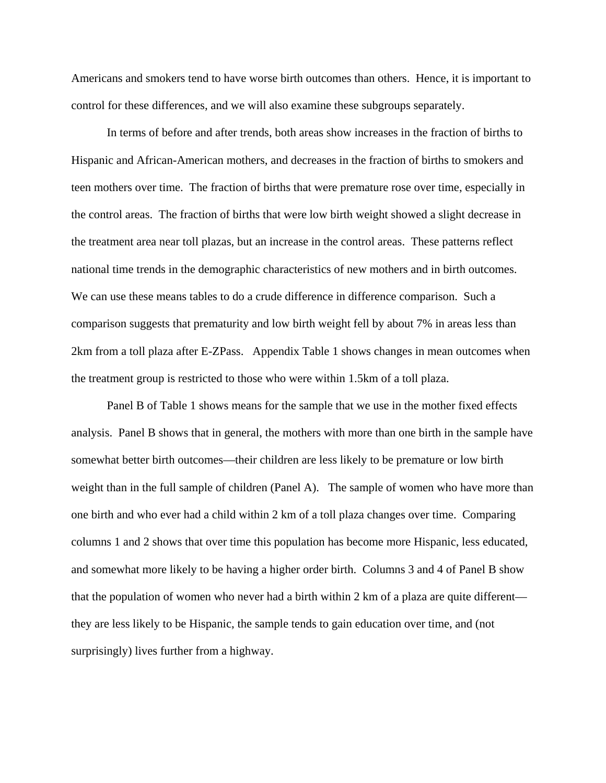Americans and smokers tend to have worse birth outcomes than others. Hence, it is important to control for these differences, and we will also examine these subgroups separately.

In terms of before and after trends, both areas show increases in the fraction of births to Hispanic and African-American mothers, and decreases in the fraction of births to smokers and teen mothers over time. The fraction of births that were premature rose over time, especially in the control areas. The fraction of births that were low birth weight showed a slight decrease in the treatment area near toll plazas, but an increase in the control areas. These patterns reflect national time trends in the demographic characteristics of new mothers and in birth outcomes. We can use these means tables to do a crude difference in difference comparison. Such a comparison suggests that prematurity and low birth weight fell by about 7% in areas less than 2km from a toll plaza after E-ZPass. Appendix Table 1 shows changes in mean outcomes when the treatment group is restricted to those who were within 1.5km of a toll plaza.

Panel B of Table 1 shows means for the sample that we use in the mother fixed effects analysis. Panel B shows that in general, the mothers with more than one birth in the sample have somewhat better birth outcomes—their children are less likely to be premature or low birth weight than in the full sample of children (Panel A). The sample of women who have more than one birth and who ever had a child within 2 km of a toll plaza changes over time. Comparing columns 1 and 2 shows that over time this population has become more Hispanic, less educated, and somewhat more likely to be having a higher order birth. Columns 3 and 4 of Panel B show that the population of women who never had a birth within 2 km of a plaza are quite different they are less likely to be Hispanic, the sample tends to gain education over time, and (not surprisingly) lives further from a highway.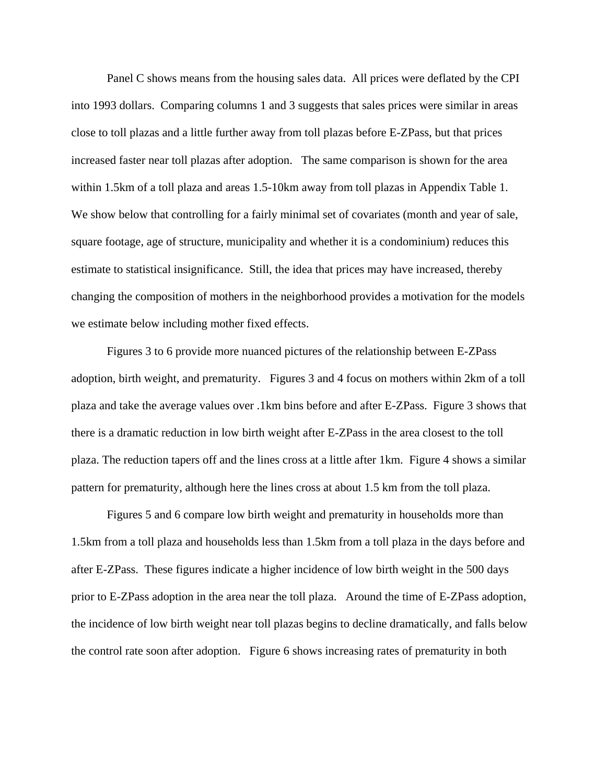Panel C shows means from the housing sales data. All prices were deflated by the CPI into 1993 dollars. Comparing columns 1 and 3 suggests that sales prices were similar in areas close to toll plazas and a little further away from toll plazas before E-ZPass, but that prices increased faster near toll plazas after adoption. The same comparison is shown for the area within 1.5km of a toll plaza and areas 1.5-10km away from toll plazas in Appendix Table 1. We show below that controlling for a fairly minimal set of covariates (month and year of sale, square footage, age of structure, municipality and whether it is a condominium) reduces this estimate to statistical insignificance. Still, the idea that prices may have increased, thereby changing the composition of mothers in the neighborhood provides a motivation for the models we estimate below including mother fixed effects.

 Figures 3 to 6 provide more nuanced pictures of the relationship between E-ZPass adoption, birth weight, and prematurity. Figures 3 and 4 focus on mothers within 2km of a toll plaza and take the average values over .1km bins before and after E-ZPass. Figure 3 shows that there is a dramatic reduction in low birth weight after E-ZPass in the area closest to the toll plaza. The reduction tapers off and the lines cross at a little after 1km. Figure 4 shows a similar pattern for prematurity, although here the lines cross at about 1.5 km from the toll plaza.

 Figures 5 and 6 compare low birth weight and prematurity in households more than 1.5km from a toll plaza and households less than 1.5km from a toll plaza in the days before and after E-ZPass. These figures indicate a higher incidence of low birth weight in the 500 days prior to E-ZPass adoption in the area near the toll plaza. Around the time of E-ZPass adoption, the incidence of low birth weight near toll plazas begins to decline dramatically, and falls below the control rate soon after adoption. Figure 6 shows increasing rates of prematurity in both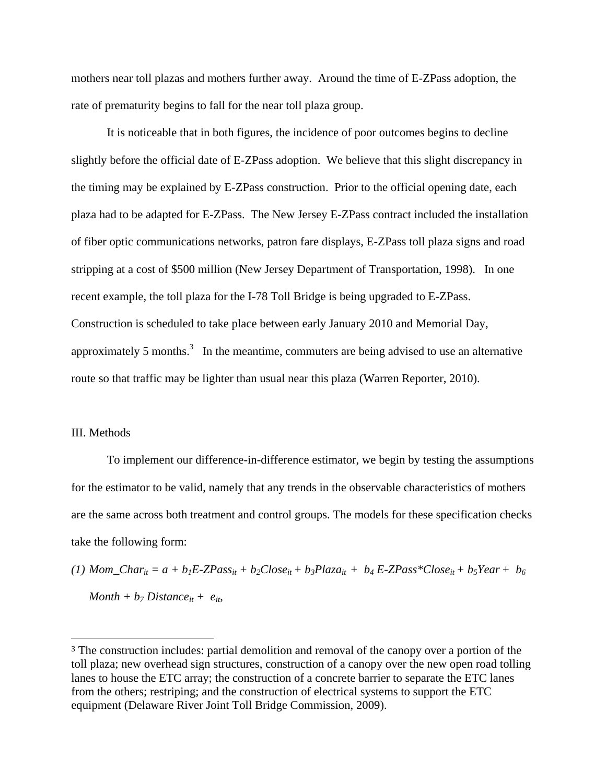mothers near toll plazas and mothers further away. Around the time of E-ZPass adoption, the rate of prematurity begins to fall for the near toll plaza group.

 It is noticeable that in both figures, the incidence of poor outcomes begins to decline slightly before the official date of E-ZPass adoption. We believe that this slight discrepancy in the timing may be explained by E-ZPass construction. Prior to the official opening date, each plaza had to be adapted for E-ZPass. The New Jersey E-ZPass contract included the installation of fiber optic communications networks, patron fare displays, E-ZPass toll plaza signs and road stripping at a cost of \$500 million (New Jersey Department of Transportation, 1998). In one recent example, the toll plaza for the I-78 Toll Bridge is being upgraded to E-ZPass. Construction is scheduled to take place between early January 2010 and Memorial Day, approximately 5 months.<sup>3</sup> In the meantime, commuters are being advised to use an alternative route so that traffic may be lighter than usual near this plaza (Warren Reporter, 2010).

#### III. Methods

 To implement our difference-in-difference estimator, we begin by testing the assumptions for the estimator to be valid, namely that any trends in the observable characteristics of mothers are the same across both treatment and control groups. The models for these specification checks take the following form:

(1)  $Mom\_Char_{it} = a + b_1E-ZPass_{it} + b_2Close_{it} + b_3Plaza_{it} + b_4E-ZPass*Close_{it} + b_5Year + b_6$  $Month + b_7 Distance_{it} + e_{it}$ 

<sup>3</sup> The construction includes: partial demolition and removal of the canopy over a portion of the toll plaza; new overhead sign structures, construction of a canopy over the new open road tolling lanes to house the ETC array; the construction of a concrete barrier to separate the ETC lanes from the others; restriping; and the construction of electrical systems to support the ETC equipment (Delaware River Joint Toll Bridge Commission, 2009).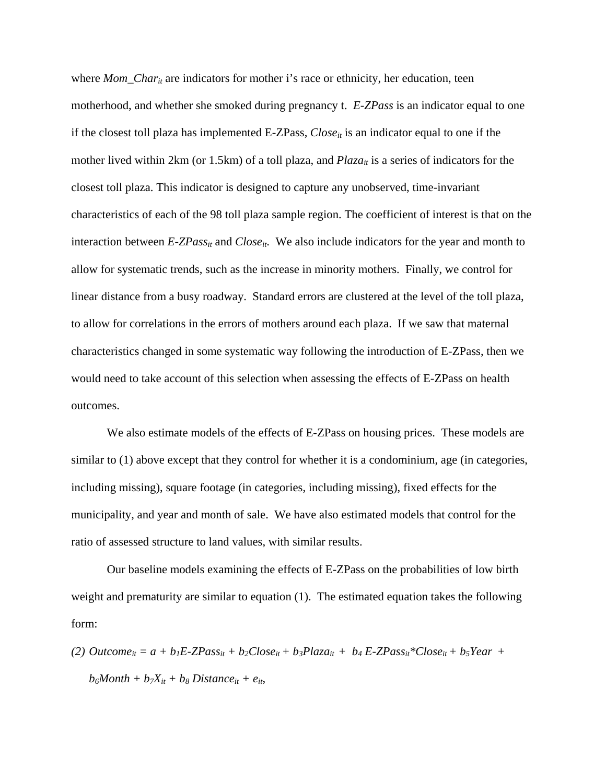where *Mom\_Char<sub>it</sub>* are indicators for mother i's race or ethnicity, her education, teen motherhood, and whether she smoked during pregnancy t. *E-ZPass* is an indicator equal to one if the closest toll plaza has implemented E-ZPass, *Close<sub>it</sub>* is an indicator equal to one if the mother lived within 2km (or 1.5km) of a toll plaza, and *Plaza<sub>it</sub>* is a series of indicators for the closest toll plaza. This indicator is designed to capture any unobserved, time-invariant characteristics of each of the 98 toll plaza sample region. The coefficient of interest is that on the interaction between  $E$ -*ZPass<sub>it</sub>* and *Close<sub>it</sub>*. We also include indicators for the year and month to allow for systematic trends, such as the increase in minority mothers. Finally, we control for linear distance from a busy roadway. Standard errors are clustered at the level of the toll plaza, to allow for correlations in the errors of mothers around each plaza. If we saw that maternal characteristics changed in some systematic way following the introduction of E-ZPass, then we would need to take account of this selection when assessing the effects of E-ZPass on health outcomes.

 We also estimate models of the effects of E-ZPass on housing prices. These models are similar to (1) above except that they control for whether it is a condominium, age (in categories, including missing), square footage (in categories, including missing), fixed effects for the municipality, and year and month of sale. We have also estimated models that control for the ratio of assessed structure to land values, with similar results.

 Our baseline models examining the effects of E-ZPass on the probabilities of low birth weight and prematurity are similar to equation (1). The estimated equation takes the following form:

(2)  $\textit{Outcome}_{it} = a + b_1E\text{-}ZPass_{it} + b_2Close_{it} + b_3Plaza_{it} + b_4E\text{-}ZPass_{it} *Close_{it} + b_5Year +$  $b_6$ *Month* +  $b_7X_{it}$  +  $b_8$  *Distance*<sub>it</sub> +  $e_{it}$ ,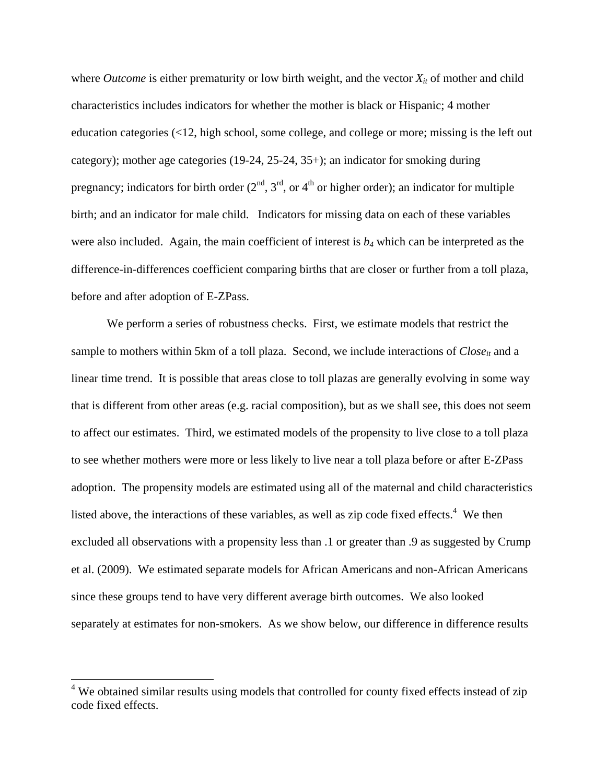where *Outcome* is either prematurity or low birth weight, and the vector  $X_{it}$  of mother and child characteristics includes indicators for whether the mother is black or Hispanic; 4 mother education categories (<12, high school, some college, and college or more; missing is the left out category); mother age categories (19-24, 25-24, 35+); an indicator for smoking during pregnancy; indicators for birth order  $(2<sup>nd</sup>, 3<sup>rd</sup>, or 4<sup>th</sup> or higher order)$ ; an indicator for multiple birth; and an indicator for male child. Indicators for missing data on each of these variables were also included. Again, the main coefficient of interest is *b4* which can be interpreted as the difference-in-differences coefficient comparing births that are closer or further from a toll plaza, before and after adoption of E-ZPass.

 We perform a series of robustness checks. First, we estimate models that restrict the sample to mothers within 5km of a toll plaza. Second, we include interactions of *Close<sub>it</sub>* and a linear time trend. It is possible that areas close to toll plazas are generally evolving in some way that is different from other areas (e.g. racial composition), but as we shall see, this does not seem to affect our estimates. Third, we estimated models of the propensity to live close to a toll plaza to see whether mothers were more or less likely to live near a toll plaza before or after E-ZPass adoption. The propensity models are estimated using all of the maternal and child characteristics listed above, the interactions of these variables, as well as zip code fixed effects. $4$  We then excluded all observations with a propensity less than .1 or greater than .9 as suggested by Crump et al. (2009). We estimated separate models for African Americans and non-African Americans since these groups tend to have very different average birth outcomes. We also looked separately at estimates for non-smokers. As we show below, our difference in difference results

<sup>&</sup>lt;sup>4</sup> We obtained similar results using models that controlled for county fixed effects instead of zip code fixed effects.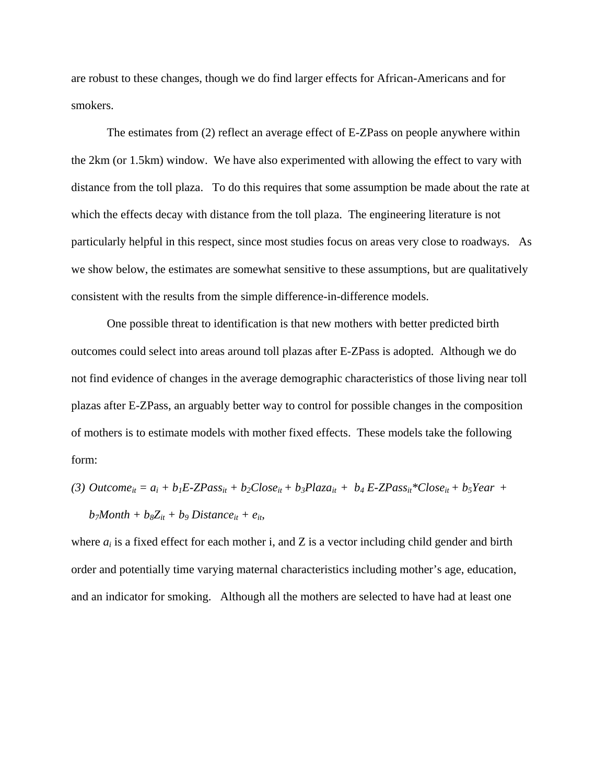are robust to these changes, though we do find larger effects for African-Americans and for smokers.

 The estimates from (2) reflect an average effect of E-ZPass on people anywhere within the 2km (or 1.5km) window. We have also experimented with allowing the effect to vary with distance from the toll plaza. To do this requires that some assumption be made about the rate at which the effects decay with distance from the toll plaza. The engineering literature is not particularly helpful in this respect, since most studies focus on areas very close to roadways. As we show below, the estimates are somewhat sensitive to these assumptions, but are qualitatively consistent with the results from the simple difference-in-difference models.

 One possible threat to identification is that new mothers with better predicted birth outcomes could select into areas around toll plazas after E-ZPass is adopted. Although we do not find evidence of changes in the average demographic characteristics of those living near toll plazas after E-ZPass, an arguably better way to control for possible changes in the composition of mothers is to estimate models with mother fixed effects. These models take the following form:

(3)  $\textit{Outcome}_{it} = a_i + b_1E\text{-}ZPass_{it} + b_2Close_{it} + b_3Plaza_{it} + b_4E\text{-}ZPass_{it} *Close_{it} + b_5Year +$  $b_7$ *Month* +  $b_8Z_{it}$  +  $b_9$  *Distance*<sub>it</sub> +  $e_{it}$ ,

where  $a_i$  is a fixed effect for each mother i, and Z is a vector including child gender and birth order and potentially time varying maternal characteristics including mother's age, education, and an indicator for smoking. Although all the mothers are selected to have had at least one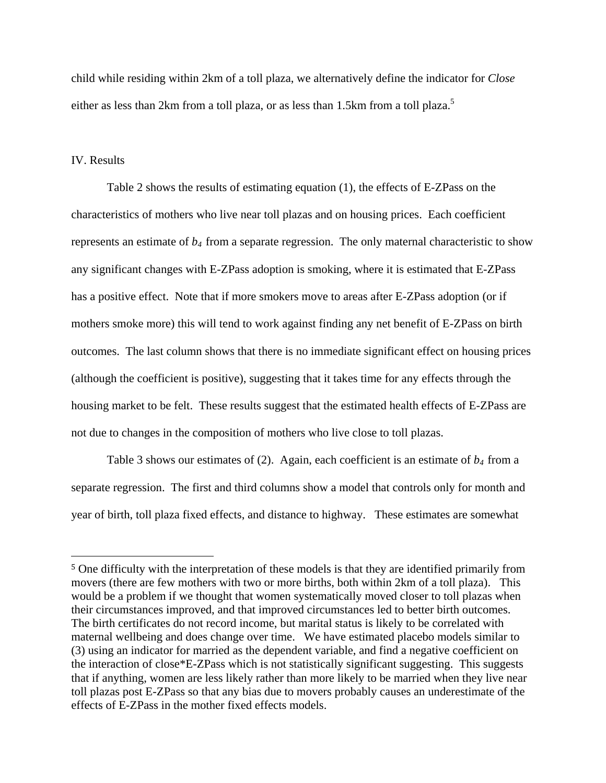child while residing within 2km of a toll plaza, we alternatively define the indicator for *Close* either as less than 2km from a toll plaza, or as less than 1.5km from a toll plaza.<sup>5</sup>

### IV. Results

 Table 2 shows the results of estimating equation (1), the effects of E-ZPass on the characteristics of mothers who live near toll plazas and on housing prices. Each coefficient represents an estimate of  $b_4$  from a separate regression. The only maternal characteristic to show any significant changes with E-ZPass adoption is smoking, where it is estimated that E-ZPass has a positive effect. Note that if more smokers move to areas after E-ZPass adoption (or if mothers smoke more) this will tend to work against finding any net benefit of E-ZPass on birth outcomes. The last column shows that there is no immediate significant effect on housing prices (although the coefficient is positive), suggesting that it takes time for any effects through the housing market to be felt. These results suggest that the estimated health effects of E-ZPass are not due to changes in the composition of mothers who live close to toll plazas.

Table 3 shows our estimates of (2). Again, each coefficient is an estimate of  $b_4$  from a separate regression. The first and third columns show a model that controls only for month and year of birth, toll plaza fixed effects, and distance to highway. These estimates are somewhat

<sup>5</sup> One difficulty with the interpretation of these models is that they are identified primarily from movers (there are few mothers with two or more births, both within 2km of a toll plaza). This would be a problem if we thought that women systematically moved closer to toll plazas when their circumstances improved, and that improved circumstances led to better birth outcomes. The birth certificates do not record income, but marital status is likely to be correlated with maternal wellbeing and does change over time. We have estimated placebo models similar to (3) using an indicator for married as the dependent variable, and find a negative coefficient on the interaction of close\*E-ZPass which is not statistically significant suggesting. This suggests that if anything, women are less likely rather than more likely to be married when they live near toll plazas post E-ZPass so that any bias due to movers probably causes an underestimate of the effects of E-ZPass in the mother fixed effects models.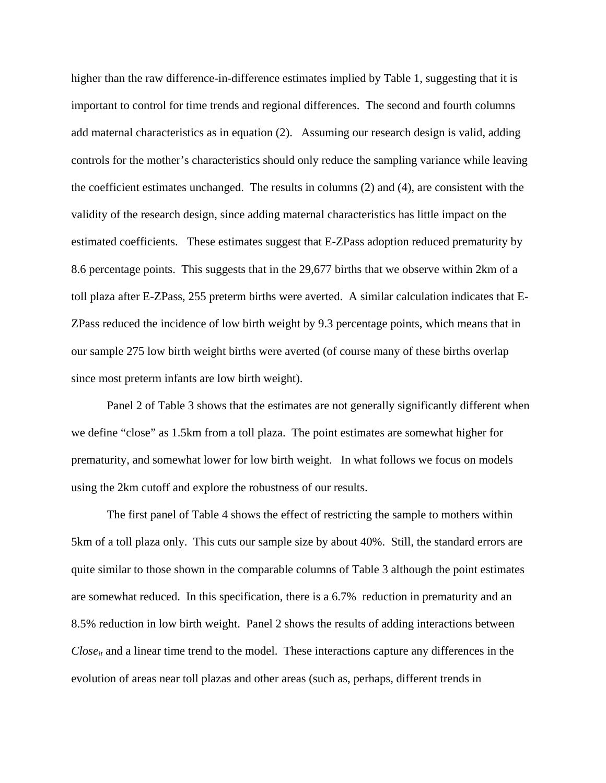higher than the raw difference-in-difference estimates implied by Table 1, suggesting that it is important to control for time trends and regional differences. The second and fourth columns add maternal characteristics as in equation (2). Assuming our research design is valid, adding controls for the mother's characteristics should only reduce the sampling variance while leaving the coefficient estimates unchanged. The results in columns (2) and (4), are consistent with the validity of the research design, since adding maternal characteristics has little impact on the estimated coefficients. These estimates suggest that E-ZPass adoption reduced prematurity by 8.6 percentage points. This suggests that in the 29,677 births that we observe within 2km of a toll plaza after E-ZPass, 255 preterm births were averted. A similar calculation indicates that E-ZPass reduced the incidence of low birth weight by 9.3 percentage points, which means that in our sample 275 low birth weight births were averted (of course many of these births overlap since most preterm infants are low birth weight).

 Panel 2 of Table 3 shows that the estimates are not generally significantly different when we define "close" as 1.5km from a toll plaza. The point estimates are somewhat higher for prematurity, and somewhat lower for low birth weight. In what follows we focus on models using the 2km cutoff and explore the robustness of our results.

 The first panel of Table 4 shows the effect of restricting the sample to mothers within 5km of a toll plaza only. This cuts our sample size by about 40%. Still, the standard errors are quite similar to those shown in the comparable columns of Table 3 although the point estimates are somewhat reduced. In this specification, there is a 6.7% reduction in prematurity and an 8.5% reduction in low birth weight. Panel 2 shows the results of adding interactions between  $Close<sub>it</sub>$  and a linear time trend to the model. These interactions capture any differences in the evolution of areas near toll plazas and other areas (such as, perhaps, different trends in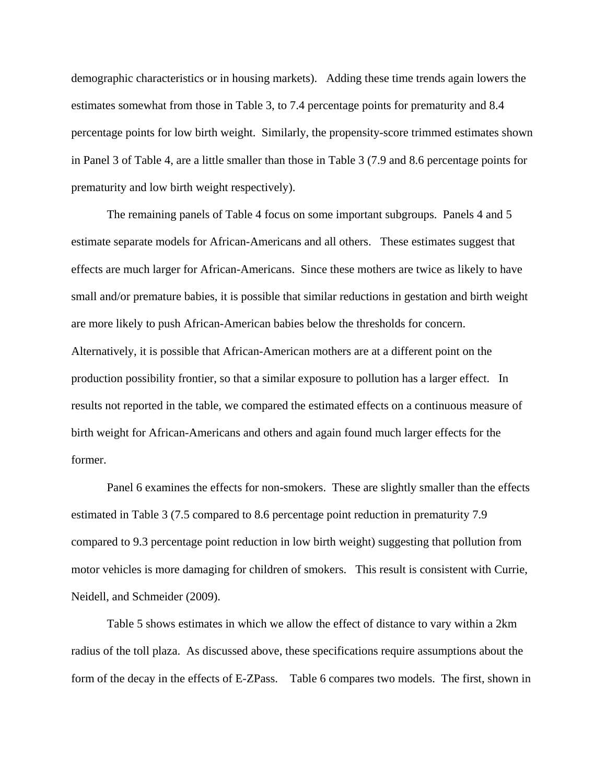demographic characteristics or in housing markets). Adding these time trends again lowers the estimates somewhat from those in Table 3, to 7.4 percentage points for prematurity and 8.4 percentage points for low birth weight. Similarly, the propensity-score trimmed estimates shown in Panel 3 of Table 4, are a little smaller than those in Table 3 (7.9 and 8.6 percentage points for prematurity and low birth weight respectively).

The remaining panels of Table 4 focus on some important subgroups. Panels 4 and 5 estimate separate models for African-Americans and all others. These estimates suggest that effects are much larger for African-Americans. Since these mothers are twice as likely to have small and/or premature babies, it is possible that similar reductions in gestation and birth weight are more likely to push African-American babies below the thresholds for concern. Alternatively, it is possible that African-American mothers are at a different point on the production possibility frontier, so that a similar exposure to pollution has a larger effect. In results not reported in the table, we compared the estimated effects on a continuous measure of birth weight for African-Americans and others and again found much larger effects for the former.

Panel 6 examines the effects for non-smokers. These are slightly smaller than the effects estimated in Table 3 (7.5 compared to 8.6 percentage point reduction in prematurity 7.9 compared to 9.3 percentage point reduction in low birth weight) suggesting that pollution from motor vehicles is more damaging for children of smokers. This result is consistent with Currie, Neidell, and Schmeider (2009).

Table 5 shows estimates in which we allow the effect of distance to vary within a 2km radius of the toll plaza. As discussed above, these specifications require assumptions about the form of the decay in the effects of E-ZPass. Table 6 compares two models. The first, shown in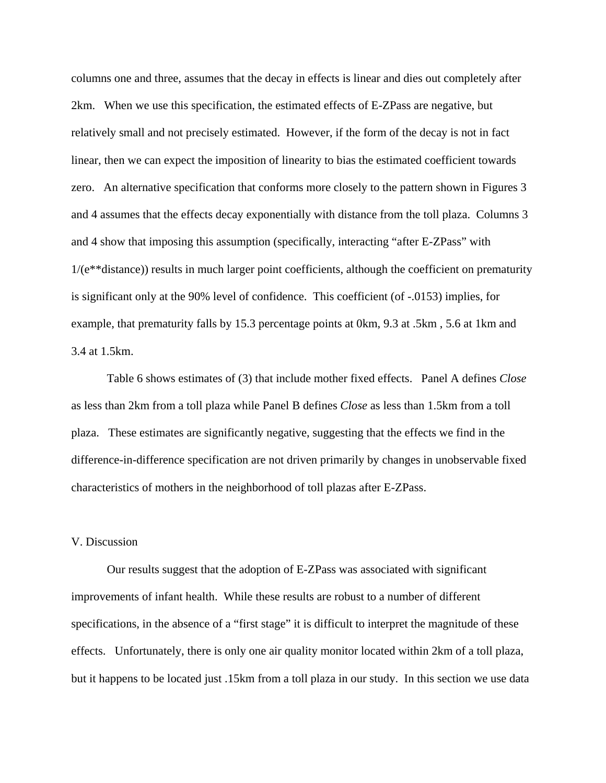columns one and three, assumes that the decay in effects is linear and dies out completely after 2km. When we use this specification, the estimated effects of E-ZPass are negative, but relatively small and not precisely estimated. However, if the form of the decay is not in fact linear, then we can expect the imposition of linearity to bias the estimated coefficient towards zero. An alternative specification that conforms more closely to the pattern shown in Figures 3 and 4 assumes that the effects decay exponentially with distance from the toll plaza. Columns 3 and 4 show that imposing this assumption (specifically, interacting "after E-ZPass" with 1/(e\*\*distance)) results in much larger point coefficients, although the coefficient on prematurity is significant only at the 90% level of confidence. This coefficient (of -.0153) implies, for example, that prematurity falls by 15.3 percentage points at 0km, 9.3 at .5km , 5.6 at 1km and 3.4 at 1.5km.

 Table 6 shows estimates of (3) that include mother fixed effects. Panel A defines *Close* as less than 2km from a toll plaza while Panel B defines *Close* as less than 1.5km from a toll plaza. These estimates are significantly negative, suggesting that the effects we find in the difference-in-difference specification are not driven primarily by changes in unobservable fixed characteristics of mothers in the neighborhood of toll plazas after E-ZPass.

## V. Discussion

 Our results suggest that the adoption of E-ZPass was associated with significant improvements of infant health. While these results are robust to a number of different specifications, in the absence of a "first stage" it is difficult to interpret the magnitude of these effects. Unfortunately, there is only one air quality monitor located within 2km of a toll plaza, but it happens to be located just .15km from a toll plaza in our study. In this section we use data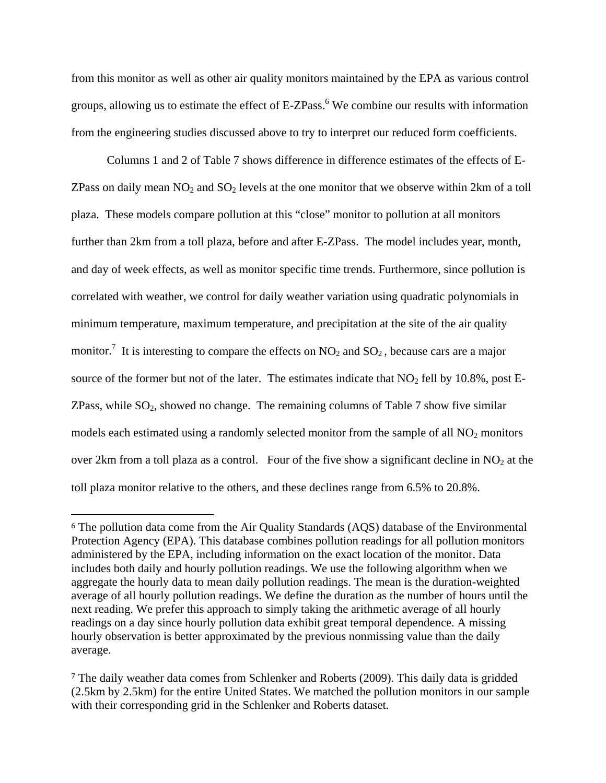from this monitor as well as other air quality monitors maintained by the EPA as various control groups, allowing us to estimate the effect of E-ZPass.<sup>6</sup> We combine our results with information from the engineering studies discussed above to try to interpret our reduced form coefficients.

 Columns 1 and 2 of Table 7 shows difference in difference estimates of the effects of E-ZPass on daily mean  $NO_2$  and  $SO_2$  levels at the one monitor that we observe within 2km of a toll plaza. These models compare pollution at this "close" monitor to pollution at all monitors further than 2km from a toll plaza, before and after E-ZPass. The model includes year, month, and day of week effects, as well as monitor specific time trends. Furthermore, since pollution is correlated with weather, we control for daily weather variation using quadratic polynomials in minimum temperature, maximum temperature, and precipitation at the site of the air quality monitor.<sup>7</sup> It is interesting to compare the effects on  $NO_2$  and  $SO_2$ , because cars are a major source of the former but not of the later. The estimates indicate that  $NO<sub>2</sub>$  fell by 10.8%, post E-ZPass, while  $SO_2$ , showed no change. The remaining columns of Table 7 show five similar models each estimated using a randomly selected monitor from the sample of all  $NO<sub>2</sub>$  monitors over 2km from a toll plaza as a control. Four of the five show a significant decline in  $NO<sub>2</sub>$  at the toll plaza monitor relative to the others, and these declines range from 6.5% to 20.8%.

<sup>6</sup> The pollution data come from the Air Quality Standards (AQS) database of the Environmental Protection Agency (EPA). This database combines pollution readings for all pollution monitors administered by the EPA, including information on the exact location of the monitor. Data includes both daily and hourly pollution readings. We use the following algorithm when we aggregate the hourly data to mean daily pollution readings. The mean is the duration-weighted average of all hourly pollution readings. We define the duration as the number of hours until the next reading. We prefer this approach to simply taking the arithmetic average of all hourly readings on a day since hourly pollution data exhibit great temporal dependence. A missing hourly observation is better approximated by the previous nonmissing value than the daily average.

<sup>7</sup> The daily weather data comes from Schlenker and Roberts (2009). This daily data is gridded (2.5km by 2.5km) for the entire United States. We matched the pollution monitors in our sample with their corresponding grid in the Schlenker and Roberts dataset.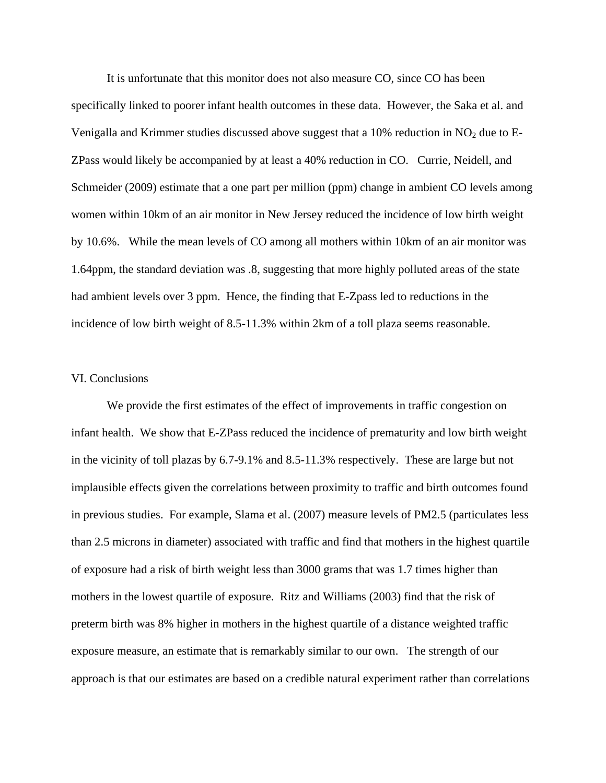It is unfortunate that this monitor does not also measure CO, since CO has been specifically linked to poorer infant health outcomes in these data. However, the Saka et al. and Venigalla and Krimmer studies discussed above suggest that a  $10\%$  reduction in NO<sub>2</sub> due to E-ZPass would likely be accompanied by at least a 40% reduction in CO. Currie, Neidell, and Schmeider (2009) estimate that a one part per million (ppm) change in ambient CO levels among women within 10km of an air monitor in New Jersey reduced the incidence of low birth weight by 10.6%. While the mean levels of CO among all mothers within 10km of an air monitor was 1.64ppm, the standard deviation was .8, suggesting that more highly polluted areas of the state had ambient levels over 3 ppm. Hence, the finding that E-Zpass led to reductions in the incidence of low birth weight of 8.5-11.3% within 2km of a toll plaza seems reasonable.

### VI. Conclusions

 We provide the first estimates of the effect of improvements in traffic congestion on infant health. We show that E-ZPass reduced the incidence of prematurity and low birth weight in the vicinity of toll plazas by 6.7-9.1% and 8.5-11.3% respectively. These are large but not implausible effects given the correlations between proximity to traffic and birth outcomes found in previous studies. For example, Slama et al. (2007) measure levels of PM2.5 (particulates less than 2.5 microns in diameter) associated with traffic and find that mothers in the highest quartile of exposure had a risk of birth weight less than 3000 grams that was 1.7 times higher than mothers in the lowest quartile of exposure. Ritz and Williams (2003) find that the risk of preterm birth was 8% higher in mothers in the highest quartile of a distance weighted traffic exposure measure, an estimate that is remarkably similar to our own. The strength of our approach is that our estimates are based on a credible natural experiment rather than correlations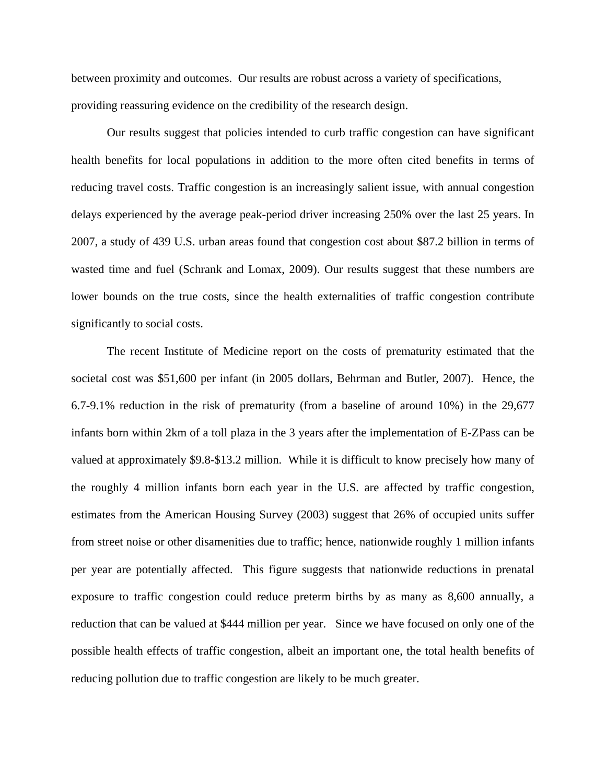between proximity and outcomes. Our results are robust across a variety of specifications, providing reassuring evidence on the credibility of the research design.

Our results suggest that policies intended to curb traffic congestion can have significant health benefits for local populations in addition to the more often cited benefits in terms of reducing travel costs. Traffic congestion is an increasingly salient issue, with annual congestion delays experienced by the average peak-period driver increasing 250% over the last 25 years. In 2007, a study of 439 U.S. urban areas found that congestion cost about \$87.2 billion in terms of wasted time and fuel (Schrank and Lomax, 2009). Our results suggest that these numbers are lower bounds on the true costs, since the health externalities of traffic congestion contribute significantly to social costs.

The recent Institute of Medicine report on the costs of prematurity estimated that the societal cost was \$51,600 per infant (in 2005 dollars, Behrman and Butler, 2007). Hence, the 6.7-9.1% reduction in the risk of prematurity (from a baseline of around 10%) in the 29,677 infants born within 2km of a toll plaza in the 3 years after the implementation of E-ZPass can be valued at approximately \$9.8-\$13.2 million. While it is difficult to know precisely how many of the roughly 4 million infants born each year in the U.S. are affected by traffic congestion, estimates from the American Housing Survey (2003) suggest that 26% of occupied units suffer from street noise or other disamenities due to traffic; hence, nationwide roughly 1 million infants per year are potentially affected. This figure suggests that nationwide reductions in prenatal exposure to traffic congestion could reduce preterm births by as many as 8,600 annually, a reduction that can be valued at \$444 million per year. Since we have focused on only one of the possible health effects of traffic congestion, albeit an important one, the total health benefits of reducing pollution due to traffic congestion are likely to be much greater.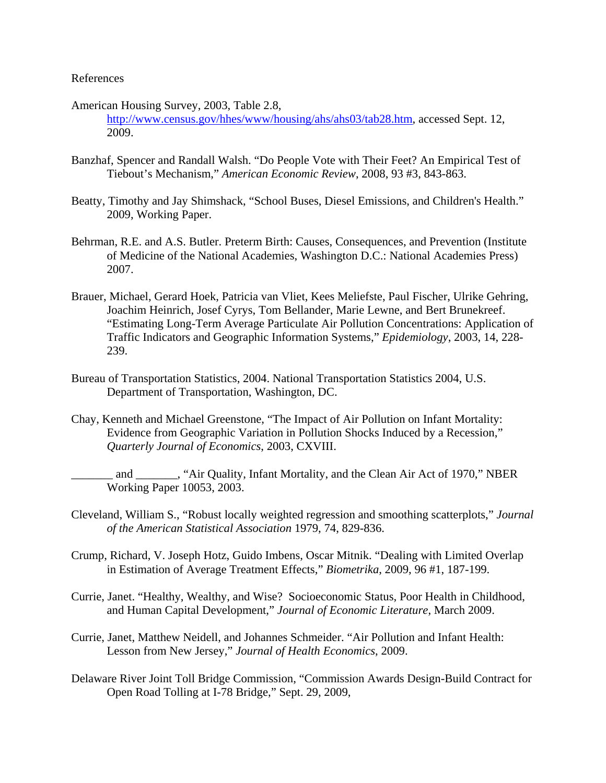## References

- American Housing Survey, 2003, Table 2.8, http://www.census.gov/hhes/www/housing/ahs/ahs03/tab28.htm, accessed Sept. 12, 2009.
- Banzhaf, Spencer and Randall Walsh. "Do People Vote with Their Feet? An Empirical Test of Tiebout's Mechanism," *American Economic Review*, 2008, 93 #3, 843-863.
- Beatty, Timothy and Jay Shimshack, "School Buses, Diesel Emissions, and Children's Health." 2009, Working Paper.
- Behrman, R.E. and A.S. Butler. Preterm Birth: Causes, Consequences, and Prevention (Institute of Medicine of the National Academies, Washington D.C.: National Academies Press) 2007.
- Brauer, Michael, Gerard Hoek, Patricia van Vliet, Kees Meliefste, Paul Fischer, Ulrike Gehring, Joachim Heinrich, Josef Cyrys, Tom Bellander, Marie Lewne, and Bert Brunekreef. "Estimating Long-Term Average Particulate Air Pollution Concentrations: Application of Traffic Indicators and Geographic Information Systems," *Epidemiology*, 2003, 14, 228- 239.
- Bureau of Transportation Statistics, 2004. National Transportation Statistics 2004, U.S. Department of Transportation, Washington, DC.
- Chay, Kenneth and Michael Greenstone, "The Impact of Air Pollution on Infant Mortality: Evidence from Geographic Variation in Pollution Shocks Induced by a Recession," *Quarterly Journal of Economics*, 2003, CXVIII.
- \_\_\_\_\_\_\_ and \_\_\_\_\_\_\_, "Air Quality, Infant Mortality, and the Clean Air Act of 1970," NBER Working Paper 10053, 2003.
- Cleveland, William S., "Robust locally weighted regression and smoothing scatterplots," *Journal of the American Statistical Association* 1979, 74, 829-836.
- Crump, Richard, V. Joseph Hotz, Guido Imbens, Oscar Mitnik. "Dealing with Limited Overlap in Estimation of Average Treatment Effects," *Biometrika*, 2009, 96 #1, 187-199.
- Currie, Janet. "Healthy, Wealthy, and Wise? Socioeconomic Status, Poor Health in Childhood, and Human Capital Development," *Journal of Economic Literature*, March 2009.
- Currie, Janet, Matthew Neidell, and Johannes Schmeider. "Air Pollution and Infant Health: Lesson from New Jersey," *Journal of Health Economics*, 2009.
- Delaware River Joint Toll Bridge Commission, "Commission Awards Design-Build Contract for Open Road Tolling at I-78 Bridge," Sept. 29, 2009,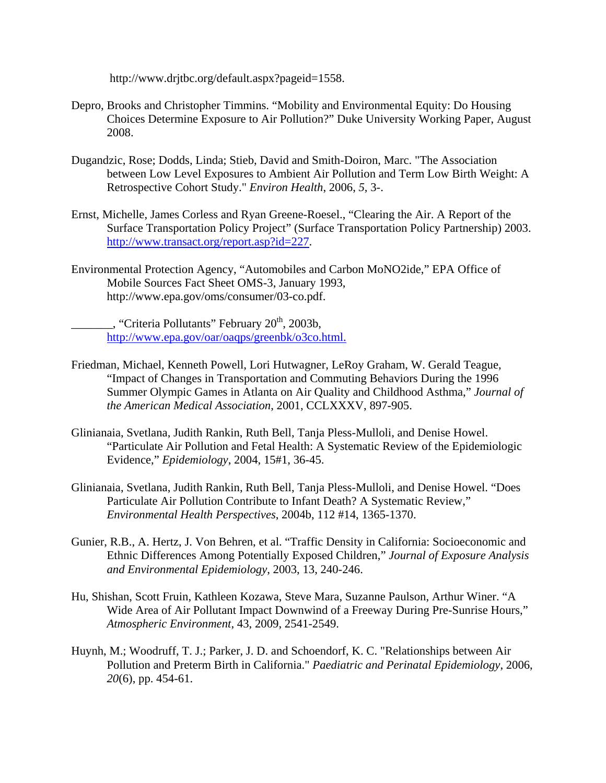http://www.drjtbc.org/default.aspx?pageid=1558.

- Depro, Brooks and Christopher Timmins. "Mobility and Environmental Equity: Do Housing Choices Determine Exposure to Air Pollution?" Duke University Working Paper, August 2008.
- Dugandzic, Rose; Dodds, Linda; Stieb, David and Smith-Doiron, Marc. "The Association between Low Level Exposures to Ambient Air Pollution and Term Low Birth Weight: A Retrospective Cohort Study." *Environ Health*, 2006, *5*, 3-.
- Ernst, Michelle, James Corless and Ryan Greene-Roesel., "Clearing the Air. A Report of the Surface Transportation Policy Project" (Surface Transportation Policy Partnership) 2003. http://www.transact.org/report.asp?id=227.
- Environmental Protection Agency, "Automobiles and Carbon MoNO2ide," EPA Office of Mobile Sources Fact Sheet OMS-3, January 1993, http://www.epa.gov/oms/consumer/03-co.pdf.

 $\ldots$ , "Criteria Pollutants" February 20<sup>th</sup>, 2003b, http://www.epa.gov/oar/oaqps/greenbk/o3co.html.

- Friedman, Michael, Kenneth Powell, Lori Hutwagner, LeRoy Graham, W. Gerald Teague, "Impact of Changes in Transportation and Commuting Behaviors During the 1996 Summer Olympic Games in Atlanta on Air Quality and Childhood Asthma," *Journal of the American Medical Association*, 2001, CCLXXXV, 897-905.
- Glinianaia, Svetlana, Judith Rankin, Ruth Bell, Tanja Pless-Mulloli, and Denise Howel. "Particulate Air Pollution and Fetal Health: A Systematic Review of the Epidemiologic Evidence," *Epidemiology*, 2004, 15#1, 36-45.
- Glinianaia, Svetlana, Judith Rankin, Ruth Bell, Tanja Pless-Mulloli, and Denise Howel. "Does Particulate Air Pollution Contribute to Infant Death? A Systematic Review," *Environmental Health Perspectives*, 2004b, 112 #14, 1365-1370.
- Gunier, R.B., A. Hertz, J. Von Behren, et al. "Traffic Density in California: Socioeconomic and Ethnic Differences Among Potentially Exposed Children," *Journal of Exposure Analysis and Environmental Epidemiology*, 2003, 13, 240-246.
- Hu, Shishan, Scott Fruin, Kathleen Kozawa, Steve Mara, Suzanne Paulson, Arthur Winer. "A Wide Area of Air Pollutant Impact Downwind of a Freeway During Pre-Sunrise Hours," *Atmospheric Environment*, 43, 2009, 2541-2549.
- Huynh, M.; Woodruff, T. J.; Parker, J. D. and Schoendorf, K. C. "Relationships between Air Pollution and Preterm Birth in California." *Paediatric and Perinatal Epidemiology*, 2006, *20*(6), pp. 454-61.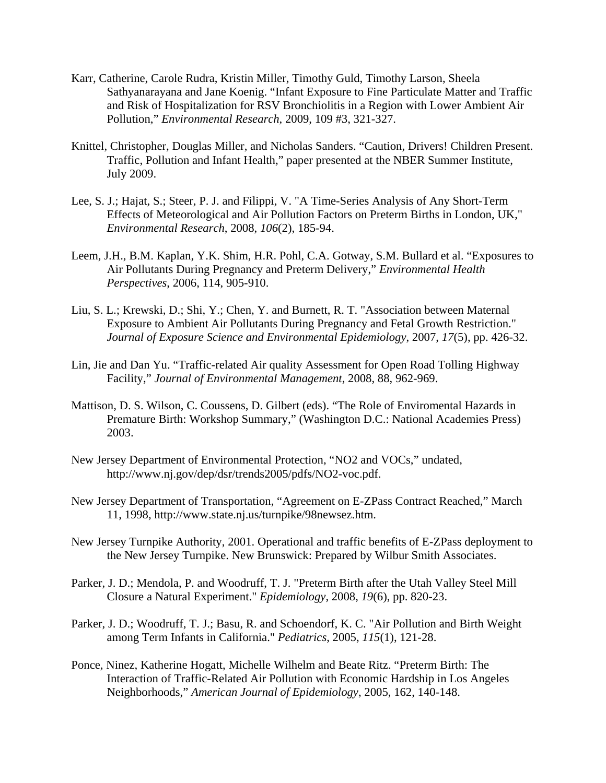- Karr, Catherine, Carole Rudra, Kristin Miller, Timothy Guld, Timothy Larson, Sheela Sathyanarayana and Jane Koenig. "Infant Exposure to Fine Particulate Matter and Traffic and Risk of Hospitalization for RSV Bronchiolitis in a Region with Lower Ambient Air Pollution," *Environmental Research*, 2009, 109 #3, 321-327.
- Knittel, Christopher, Douglas Miller, and Nicholas Sanders. "Caution, Drivers! Children Present. Traffic, Pollution and Infant Health," paper presented at the NBER Summer Institute, July 2009.
- Lee, S. J.; Hajat, S.; Steer, P. J. and Filippi, V. "A Time-Series Analysis of Any Short-Term Effects of Meteorological and Air Pollution Factors on Preterm Births in London, UK," *Environmental Research*, 2008, *106*(2), 185-94.
- Leem, J.H., B.M. Kaplan, Y.K. Shim, H.R. Pohl, C.A. Gotway, S.M. Bullard et al. "Exposures to Air Pollutants During Pregnancy and Preterm Delivery," *Environmental Health Perspectives*, 2006, 114, 905-910.
- Liu, S. L.; Krewski, D.; Shi, Y.; Chen, Y. and Burnett, R. T. "Association between Maternal Exposure to Ambient Air Pollutants During Pregnancy and Fetal Growth Restriction." *Journal of Exposure Science and Environmental Epidemiology*, 2007, *17*(5), pp. 426-32.
- Lin, Jie and Dan Yu. "Traffic-related Air quality Assessment for Open Road Tolling Highway Facility," *Journal of Environmental Management*, 2008, 88, 962-969.
- Mattison, D. S. Wilson, C. Coussens, D. Gilbert (eds). "The Role of Enviromental Hazards in Premature Birth: Workshop Summary," (Washington D.C.: National Academies Press) 2003.
- New Jersey Department of Environmental Protection, "NO2 and VOCs," undated, http://www.nj.gov/dep/dsr/trends2005/pdfs/NO2-voc.pdf.
- New Jersey Department of Transportation, "Agreement on E-ZPass Contract Reached," March 11, 1998, http://www.state.nj.us/turnpike/98newsez.htm.
- New Jersey Turnpike Authority, 2001. Operational and traffic benefits of E-ZPass deployment to the New Jersey Turnpike. New Brunswick: Prepared by Wilbur Smith Associates.
- Parker, J. D.; Mendola, P. and Woodruff, T. J. "Preterm Birth after the Utah Valley Steel Mill Closure a Natural Experiment." *Epidemiology*, 2008, *19*(6), pp. 820-23.
- Parker, J. D.; Woodruff, T. J.; Basu, R. and Schoendorf, K. C. "Air Pollution and Birth Weight among Term Infants in California." *Pediatrics*, 2005, *115*(1), 121-28.
- Ponce, Ninez, Katherine Hogatt, Michelle Wilhelm and Beate Ritz. "Preterm Birth: The Interaction of Traffic-Related Air Pollution with Economic Hardship in Los Angeles Neighborhoods," *American Journal of Epidemiology*, 2005, 162, 140-148.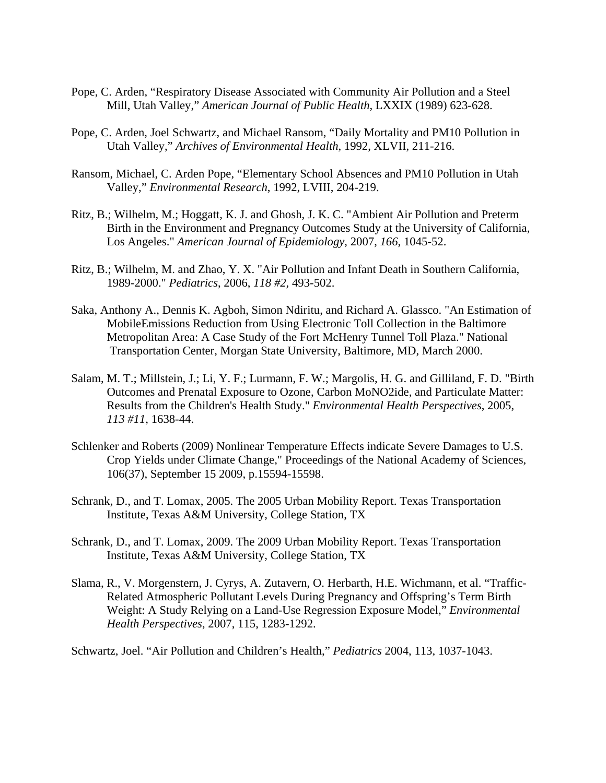- Pope, C. Arden, "Respiratory Disease Associated with Community Air Pollution and a Steel Mill, Utah Valley," *American Journal of Public Health*, LXXIX (1989) 623-628.
- Pope, C. Arden, Joel Schwartz, and Michael Ransom, "Daily Mortality and PM10 Pollution in Utah Valley," *Archives of Environmental Health*, 1992, XLVII, 211-216.
- Ransom, Michael, C. Arden Pope, "Elementary School Absences and PM10 Pollution in Utah Valley," *Environmental Research*, 1992, LVIII, 204-219.
- Ritz, B.; Wilhelm, M.; Hoggatt, K. J. and Ghosh, J. K. C. "Ambient Air Pollution and Preterm Birth in the Environment and Pregnancy Outcomes Study at the University of California, Los Angeles." *American Journal of Epidemiology*, 2007, *166*, 1045-52.
- Ritz, B.; Wilhelm, M. and Zhao, Y. X. "Air Pollution and Infant Death in Southern California, 1989-2000." *Pediatrics*, 2006, *118 #2,* 493-502.
- Saka, Anthony A., Dennis K. Agboh, Simon Ndiritu, and Richard A. Glassco. "An Estimation of MobileEmissions Reduction from Using Electronic Toll Collection in the Baltimore Metropolitan Area: A Case Study of the Fort McHenry Tunnel Toll Plaza." National Transportation Center, Morgan State University, Baltimore, MD, March 2000.
- Salam, M. T.; Millstein, J.; Li, Y. F.; Lurmann, F. W.; Margolis, H. G. and Gilliland, F. D. "Birth Outcomes and Prenatal Exposure to Ozone, Carbon MoNO2ide, and Particulate Matter: Results from the Children's Health Study." *Environmental Health Perspectives*, 2005, *113 #11,* 1638-44.
- Schlenker and Roberts (2009) Nonlinear Temperature Effects indicate Severe Damages to U.S. Crop Yields under Climate Change," Proceedings of the National Academy of Sciences, 106(37), September 15 2009, p.15594-15598.
- Schrank, D., and T. Lomax, 2005. The 2005 Urban Mobility Report. Texas Transportation Institute, Texas A&M University, College Station, TX
- Schrank, D., and T. Lomax, 2009. The 2009 Urban Mobility Report. Texas Transportation Institute, Texas A&M University, College Station, TX
- Slama, R., V. Morgenstern, J. Cyrys, A. Zutavern, O. Herbarth, H.E. Wichmann, et al. "Traffic-Related Atmospheric Pollutant Levels During Pregnancy and Offspring's Term Birth Weight: A Study Relying on a Land-Use Regression Exposure Model," *Environmental Health Perspectives*, 2007, 115, 1283-1292.

Schwartz, Joel. "Air Pollution and Children's Health," *Pediatrics* 2004, 113, 1037-1043.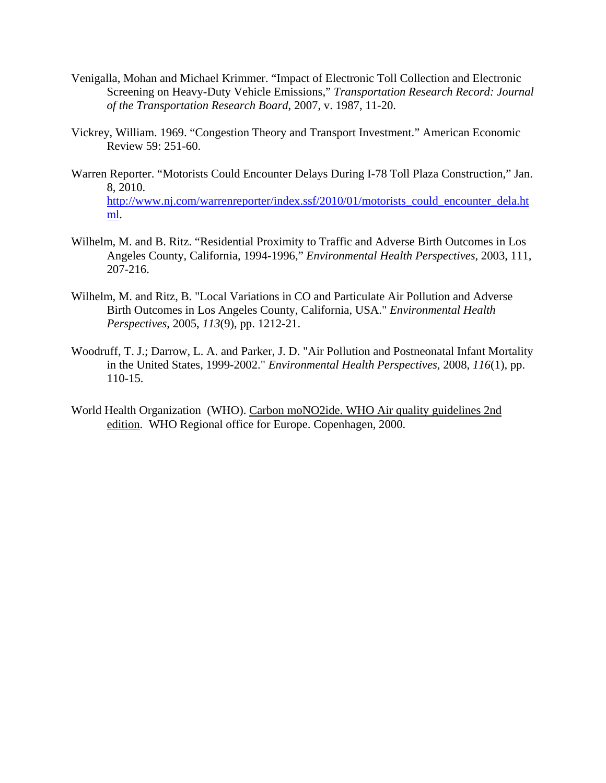- Venigalla, Mohan and Michael Krimmer. "Impact of Electronic Toll Collection and Electronic Screening on Heavy-Duty Vehicle Emissions," *Transportation Research Record: Journal of the Transportation Research Board*, 2007, v. 1987, 11-20.
- Vickrey, William. 1969. "Congestion Theory and Transport Investment." American Economic Review 59: 251-60.
- Warren Reporter. "Motorists Could Encounter Delays During I-78 Toll Plaza Construction," Jan. 8, 2010. http://www.nj.com/warrenreporter/index.ssf/2010/01/motorists\_could\_encounter\_dela.ht ml.
- Wilhelm, M. and B. Ritz. "Residential Proximity to Traffic and Adverse Birth Outcomes in Los Angeles County, California, 1994-1996," *Environmental Health Perspectives*, 2003, 111, 207-216.
- Wilhelm, M. and Ritz, B. "Local Variations in CO and Particulate Air Pollution and Adverse Birth Outcomes in Los Angeles County, California, USA." *Environmental Health Perspectives*, 2005, *113*(9), pp. 1212-21.
- Woodruff, T. J.; Darrow, L. A. and Parker, J. D. "Air Pollution and Postneonatal Infant Mortality in the United States, 1999-2002." *Environmental Health Perspectives*, 2008, *116*(1), pp. 110-15.
- World Health Organization (WHO). Carbon moNO2ide. WHO Air quality guidelines 2nd edition. WHO Regional office for Europe. Copenhagen, 2000.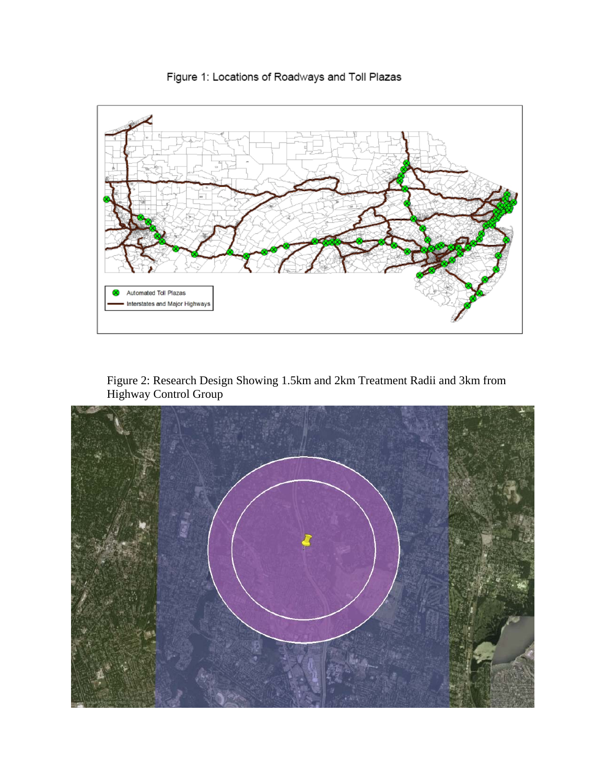

Figure 1: Locations of Roadways and Toll Plazas

Figure 2: Research Design Showing 1.5km and 2km Treatment Radii and 3km from Highway Control Group

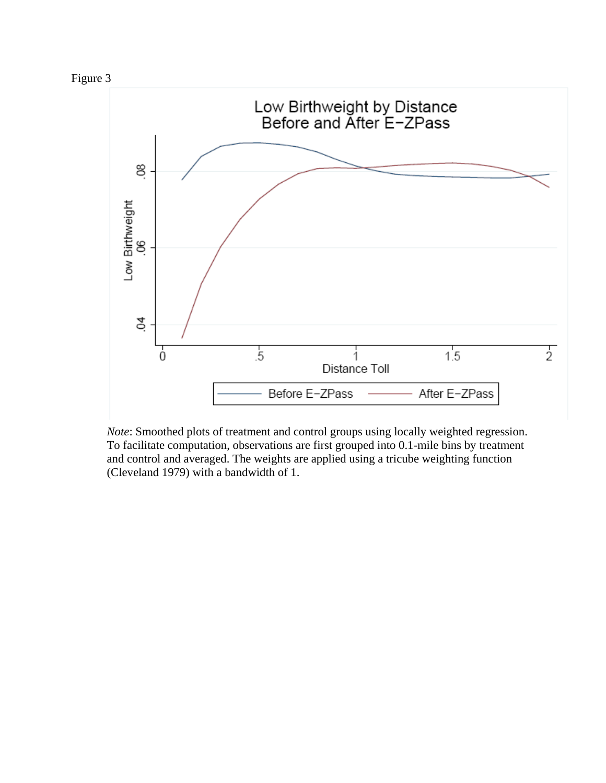



*Note*: Smoothed plots of treatment and control groups using locally weighted regression. To facilitate computation, observations are first grouped into 0.1-mile bins by treatment and control and averaged. The weights are applied using a tricube weighting function (Cleveland 1979) with a bandwidth of 1.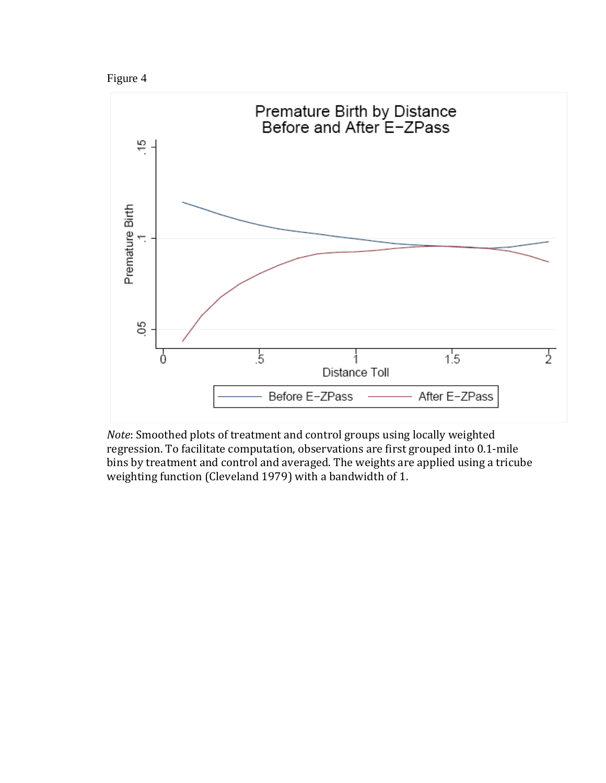



*Note*: Smoothed plots of treatment and control groups using locally weighted regression. To facilitate computation, observations are first grouped into 0.1‐mile bins by treatment and control and averaged. The weights are applied using a tricube weighting function (Cleveland 1979) with a bandwidth of 1.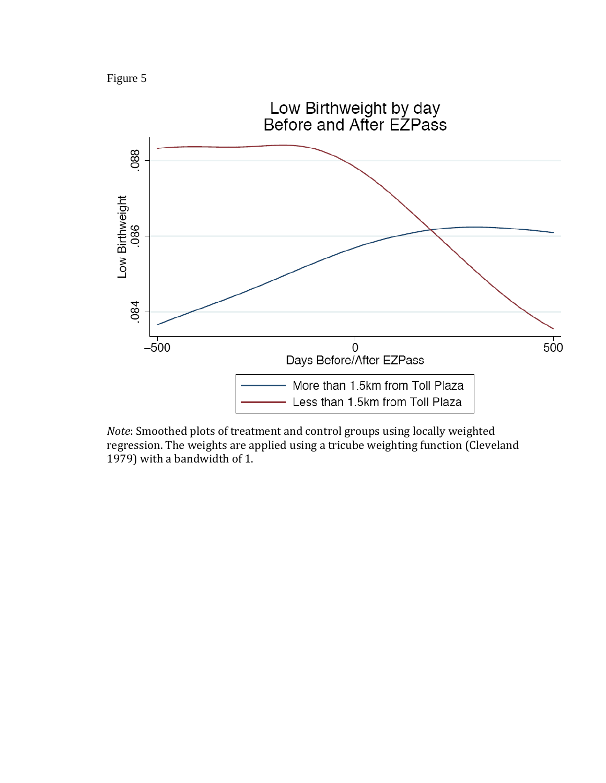Figure 5



*Note*: Smoothed plots of treatment and control groups using locally weighted regression. The weights are applied using a tricube weighting function (Cleveland 1979) with a bandwidth of 1.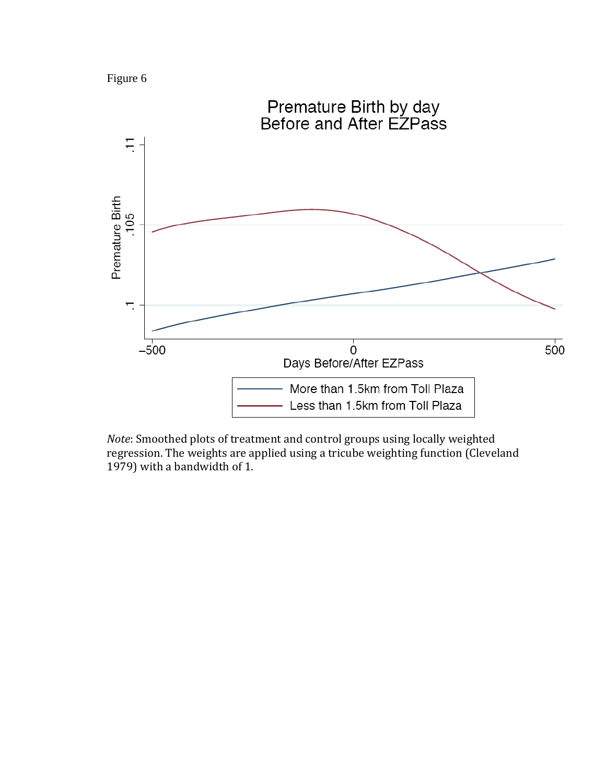



*Note*: Smoothed plots of treatment and control groups using locally weighted regression. The weights are applied using a tricube weighting function (Cleveland 1979) with a bandwidth of 1.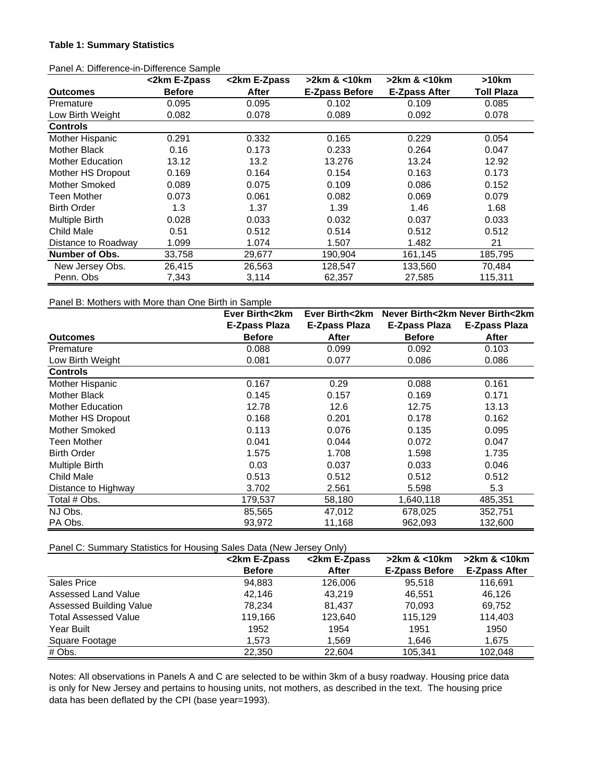#### **Table 1: Summary Statistics**

| i anci A. Dincrence-in-Dincrence Campie | <2km E-Zpass  | <2km E-Zpass | >2km & <10km          | $>2km$ & $<$ 10 $km$ | >10km             |
|-----------------------------------------|---------------|--------------|-----------------------|----------------------|-------------------|
| <b>Outcomes</b>                         | <b>Before</b> | After        | <b>E-Zpass Before</b> | <b>E-Zpass After</b> | <b>Toll Plaza</b> |
| Premature                               | 0.095         | 0.095        | 0.102                 | 0.109                | 0.085             |
| Low Birth Weight                        | 0.082         | 0.078        | 0.089                 | 0.092                | 0.078             |
| <b>Controls</b>                         |               |              |                       |                      |                   |
| Mother Hispanic                         | 0.291         | 0.332        | 0.165                 | 0.229                | 0.054             |
| Mother Black                            | 0.16          | 0.173        | 0.233                 | 0.264                | 0.047             |
| <b>Mother Education</b>                 | 13.12         | 13.2         | 13.276                | 13.24                | 12.92             |
| Mother HS Dropout                       | 0.169         | 0.164        | 0.154                 | 0.163                | 0.173             |
| Mother Smoked                           | 0.089         | 0.075        | 0.109                 | 0.086                | 0.152             |
| Teen Mother                             | 0.073         | 0.061        | 0.082                 | 0.069                | 0.079             |
| <b>Birth Order</b>                      | 1.3           | 1.37         | 1.39                  | 1.46                 | 1.68              |
| Multiple Birth                          | 0.028         | 0.033        | 0.032                 | 0.037                | 0.033             |
| Child Male                              | 0.51          | 0.512        | 0.514                 | 0.512                | 0.512             |
| Distance to Roadway                     | 1.099         | 1.074        | 1.507                 | 1.482                | 21                |
| Number of Obs.                          | 33,758        | 29,677       | 190,904               | 161,145              | 185,795           |
| New Jersey Obs.                         | 26,415        | 26,563       | 128,547               | 133,560              | 70,484            |
| Penn. Obs                               | 7,343         | 3,114        | 62,357                | 27,585               | 115,311           |

Panel A: Difference-in-Difference Sample

### Panel B: Mothers with More than One Birth in Sample

|                         | Ever Birth<2km       | Ever Birth<2km | Never Birth<2km Never Birth<2km |                      |
|-------------------------|----------------------|----------------|---------------------------------|----------------------|
|                         | <b>E-Zpass Plaza</b> | E-Zpass Plaza  | <b>E-Zpass Plaza</b>            | <b>E-Zpass Plaza</b> |
| <b>Outcomes</b>         | <b>Before</b>        | After          | <b>Before</b>                   | After                |
| Premature               | 0.088                | 0.099          | 0.092                           | 0.103                |
| Low Birth Weight        | 0.081                | 0.077          | 0.086                           | 0.086                |
| <b>Controls</b>         |                      |                |                                 |                      |
| Mother Hispanic         | 0.167                | 0.29           | 0.088                           | 0.161                |
| Mother Black            | 0.145                | 0.157          | 0.169                           | 0.171                |
| <b>Mother Education</b> | 12.78                | 12.6           | 12.75                           | 13.13                |
| Mother HS Dropout       | 0.168                | 0.201          | 0.178                           | 0.162                |
| Mother Smoked           | 0.113                | 0.076          | 0.135                           | 0.095                |
| Teen Mother             | 0.041                | 0.044          | 0.072                           | 0.047                |
| <b>Birth Order</b>      | 1.575                | 1.708          | 1.598                           | 1.735                |
| <b>Multiple Birth</b>   | 0.03                 | 0.037          | 0.033                           | 0.046                |
| Child Male              | 0.513                | 0.512          | 0.512                           | 0.512                |
| Distance to Highway     | 3.702                | 2.561          | 5.598                           | 5.3                  |
| Total # Obs.            | 179,537              | 58,180         | 1,640,118                       | 485,351              |
| NJ Obs.                 | 85,565               | 47,012         | 678,025                         | 352,751              |
| PA Obs.                 | 93,972               | 11,168         | 962,093                         | 132,600              |

#### Panel C: Summary Statistics for Housing Sales Data (New Jersey Only)

|                                | <2km E-Zpass  | <2km E-Zpass | $>2km$ & $<$ 10 $km$  | $>2km$ & $< 10km$    |
|--------------------------------|---------------|--------------|-----------------------|----------------------|
|                                | <b>Before</b> | After        | <b>E-Zpass Before</b> | <b>E-Zpass After</b> |
| Sales Price                    | 94,883        | 126,006      | 95.518                | 116.691              |
| Assessed Land Value            | 42.146        | 43.219       | 46.551                | 46,126               |
| <b>Assessed Building Value</b> | 78.234        | 81.437       | 70.093                | 69.752               |
| <b>Total Assessed Value</b>    | 119.166       | 123.640      | 115.129               | 114.403              |
| Year Built                     | 1952          | 1954         | 1951                  | 1950                 |
| Square Footage                 | 1.573         | 1.569        | 1.646                 | 1,675                |
| # Obs.                         | 22,350        | 22,604       | 105,341               | 102,048              |

Notes: All observations in Panels A and C are selected to be within 3km of a busy roadway. Housing price data is only for New Jersey and pertains to housing units, not mothers, as described in the text. The housing price data has been deflated by the CPI (base year=1993).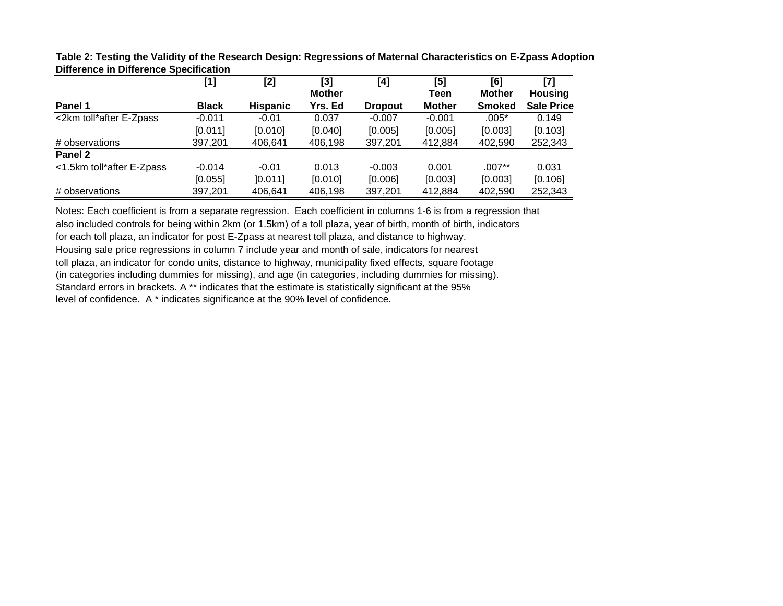|                           | $[1]$        | [2]             | [3]           | [4]            | [5]           | [6]           | [7]               |
|---------------------------|--------------|-----------------|---------------|----------------|---------------|---------------|-------------------|
|                           |              |                 | <b>Mother</b> |                | Teen          | <b>Mother</b> | <b>Housing</b>    |
| Panel 1                   | <b>Black</b> | <b>Hispanic</b> | Yrs. Ed       | <b>Dropout</b> | <b>Mother</b> | <b>Smoked</b> | <b>Sale Price</b> |
| <2km toll*after E-Zpass   | $-0.011$     | $-0.01$         | 0.037         | $-0.007$       | $-0.001$      | $.005*$       | 0.149             |
|                           | [0.011]      | [0.010]         | [0.040]       | [0.005]        | [0.005]       | [0.003]       | [0.103]           |
| # observations            | 397,201      | 406,641         | 406,198       | 397,201        | 412,884       | 402,590       | 252,343           |
| Panel 2                   |              |                 |               |                |               |               |                   |
| <1.5km toll*after E-Zpass | $-0.014$     | $-0.01$         | 0.013         | $-0.003$       | 0.001         | $.007**$      | 0.031             |
|                           | [0.055]      | [0.011]         | [0.010]       | [0.006]        | [0.003]       | [0.003]       | [0.106]           |
| # observations            | 397,201      | 406,641         | 406,198       | 397,201        | 412,884       | 402,590       | 252,343           |

**Table 2: Testing the Validity of the Research Design: Regressions of Maternal Characteristics on E-Zpass Adoption Difference in Difference Specification**

Notes: Each coefficient is from a separate regression. Each coefficient in columns 1-6 is from a regression that also included controls for being within 2km (or 1.5km) of a toll plaza, year of birth, month of birth, indicators for each toll plaza, an indicator for post E-Zpass at nearest toll plaza, and distance to highway. Housing sale price regressions in column 7 include year and month of sale, indicators for nearest toll plaza, an indicator for condo units, distance to highway, municipality fixed effects, square footage (in categories including dummies for missing), and age (in categories, including dummies for missing). Standard errors in brackets. A \*\* indicates that the estimate is statistically significant at the 95% level of confidence. A \* indicates significance at the 90% level of confidence.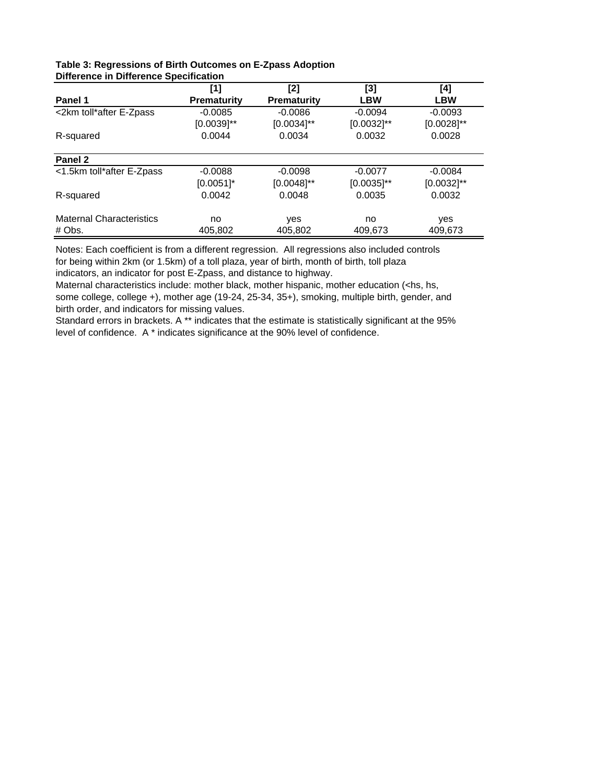|                                 | [1]                | [2]                | $[3]$           | [4]             |
|---------------------------------|--------------------|--------------------|-----------------|-----------------|
| Panel 1                         | <b>Prematurity</b> | <b>Prematurity</b> | <b>LBW</b>      | <b>LBW</b>      |
| <2km toll*after E-Zpass         | $-0.0085$          | $-0.0086$          | $-0.0094$       | $-0.0093$       |
|                                 | $[0.0039]$ **      | $[0.0034]^{**}$    | $[0.0032]^{**}$ | $[0.0028]^{**}$ |
| R-squared                       | 0.0044             | 0.0034             | 0.0032          | 0.0028          |
| Panel 2                         |                    |                    |                 |                 |
| <1.5km toll*after E-Zpass       | $-0.0088$          | $-0.0098$          | $-0.0077$       | $-0.0084$       |
|                                 | $[0.0051]$ *       | $[0.0048]$ **      | $[0.0035]^{**}$ | $[0.0032]^{**}$ |
| R-squared                       | 0.0042             | 0.0048             | 0.0035          | 0.0032          |
| <b>Maternal Characteristics</b> | no                 | yes                | no              | yes             |
| # Obs.                          | 405,802            | 405,802            | 409,673         | 409,673         |

#### **Table 3: Regressions of Birth Outcomes on E-Zpass Adoption Difference in Difference Specification**

Notes: Each coefficient is from a different regression. All regressions also included controls for being within 2km (or 1.5km) of a toll plaza, year of birth, month of birth, toll plaza indicators, an indicator for post E-Zpass, and distance to highway.

Maternal characteristics include: mother black, mother hispanic, mother education (<hs, hs, some college, college +), mother age (19-24, 25-34, 35+), smoking, multiple birth, gender, and birth order, and indicators for missing values.

Standard errors in brackets. A \*\* indicates that the estimate is statistically significant at the 95% level of confidence. A \* indicates significance at the 90% level of confidence.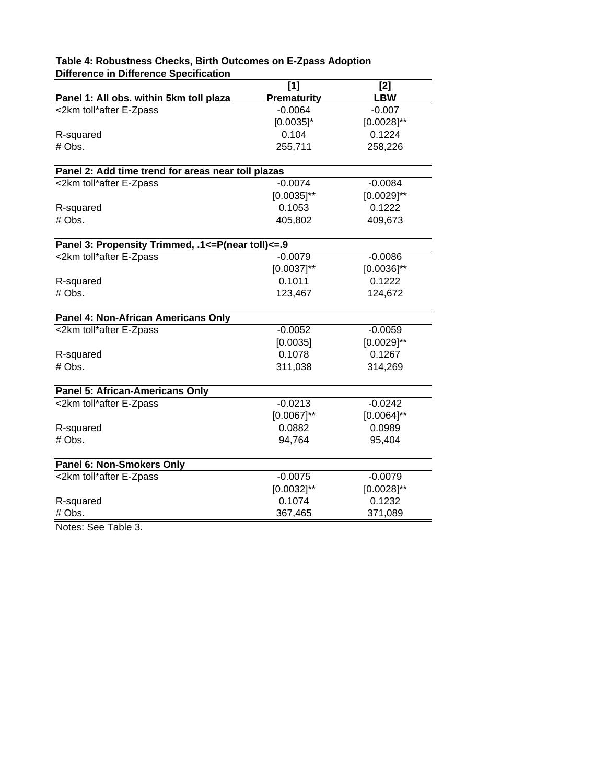|                                                    | [1]                | [2]             |  |
|----------------------------------------------------|--------------------|-----------------|--|
| Panel 1: All obs. within 5km toll plaza            | <b>Prematurity</b> | <b>LBW</b>      |  |
| <2km toll*after E-Zpass                            | $-0.0064$          | $-0.007$        |  |
|                                                    | $[0.0035]$ *       | $[0.0028]^{**}$ |  |
| R-squared                                          | 0.104              | 0.1224          |  |
| # Obs.                                             | 255,711            | 258,226         |  |
| Panel 2: Add time trend for areas near toll plazas |                    |                 |  |
| <2km toll*after E-Zpass                            | $-0.0074$          | $-0.0084$       |  |
|                                                    | $[0.0035]^{**}$    | $[0.0029]^{**}$ |  |
| R-squared                                          | 0.1053             | 0.1222          |  |
| # Obs.                                             | 405,802            | 409,673         |  |
| Panel 3: Propensity Trimmed, .1<=P(near toll)<=.9  |                    |                 |  |
| <2km toll*after E-Zpass                            | $-0.0079$          | $-0.0086$       |  |
|                                                    | $[0.0037]^{**}$    | $[0.0036]^{**}$ |  |
| R-squared                                          | 0.1011             | 0.1222          |  |
| # Obs.                                             | 123,467            | 124,672         |  |
| Panel 4: Non-African Americans Only                |                    |                 |  |
| <2km toll*after E-Zpass                            | $-0.0052$          | $-0.0059$       |  |
|                                                    | [0.0035]           | $[0.0029]$ **   |  |
| R-squared                                          | 0.1078             | 0.1267          |  |
| # Obs.                                             | 311,038            | 314,269         |  |
| <b>Panel 5: African-Americans Only</b>             |                    |                 |  |
| <2km toll*after E-Zpass                            | $-0.0213$          | $-0.0242$       |  |
|                                                    | $[0.0067]^{**}$    | $[0.0064]^{**}$ |  |
| R-squared                                          | 0.0882             | 0.0989          |  |
| # Obs.                                             | 94,764             | 95,404          |  |
| Panel 6: Non-Smokers Only                          |                    |                 |  |
| <2km toll*after E-Zpass                            | $-0.0075$          | $-0.0079$       |  |
|                                                    | $[0.0032]^{**}$    | $[0.0028]^{**}$ |  |
| R-squared                                          | 0.1074             | 0.1232          |  |
| # Obs.                                             | 367,465            | 371,089         |  |

# **Table 4: Robustness Checks, Birth Outcomes on E-Zpass Adoption Difference in Difference Specification**

Notes: See Table 3.